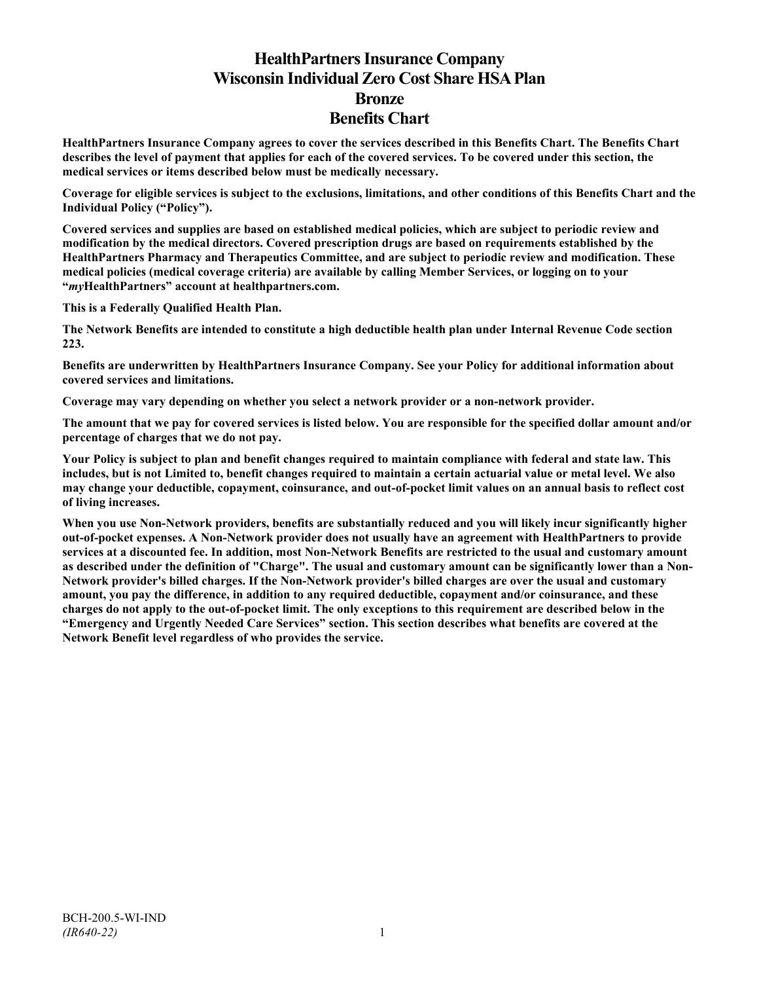# **HealthPartners Insurance Company Wisconsin Individual Zero Cost Share HSA Plan Bronze Benefits Chart**

**HealthPartners Insurance Company agrees to cover the services described in this Benefits Chart. The Benefits Chart describes the level of payment that applies for each of the covered services. To be covered under this section, the medical services or items described below must be medically necessary.**

**Coverage for eligible services is subject to the exclusions, limitations, and other conditions of this Benefits Chart and the Individual Policy ("Policy").**

**Covered services and supplies are based on established medical policies, which are subject to periodic review and modification by the medical directors. Covered prescription drugs are based on requirements established by the HealthPartners Pharmacy and Therapeutics Committee, and are subject to periodic review and modification. These medical policies (medical coverage criteria) are available by calling Member Services, or logging on to your "***my***HealthPartners" account at [healthpartners.com.](http://www.healthpartners.com/)**

**This is a Federally Qualified Health Plan.**

**The Network Benefits are intended to constitute a high deductible health plan under Internal Revenue Code section 223.**

**Benefits are underwritten by HealthPartners Insurance Company. See your Policy for additional information about covered services and limitations.**

**Coverage may vary depending on whether you select a network provider or a non-network provider.**

**The amount that we pay for covered services is listed below. You are responsible for the specified dollar amount and/or percentage of charges that we do not pay.**

**Your Policy is subject to plan and benefit changes required to maintain compliance with federal and state law. This includes, but is not Limited to, benefit changes required to maintain a certain actuarial value or metal level. We also may change your deductible, copayment, coinsurance, and out-of-pocket limit values on an annual basis to reflect cost of living increases.**

**When you use Non-Network providers, benefits are substantially reduced and you will likely incur significantly higher out-of-pocket expenses. A Non-Network provider does not usually have an agreement with HealthPartners to provide services at a discounted fee. In addition, most Non-Network Benefits are restricted to the usual and customary amount as described under the definition of "Charge". The usual and customary amount can be significantly lower than a Non-Network provider's billed charges. If the Non-Network provider's billed charges are over the usual and customary amount, you pay the difference, in addition to any required deductible, copayment and/or coinsurance, and these charges do not apply to the out-of-pocket limit. The only exceptions to this requirement are described below in the "Emergency and Urgently Needed Care Services" section. This section describes what benefits are covered at the Network Benefit level regardless of who provides the service.**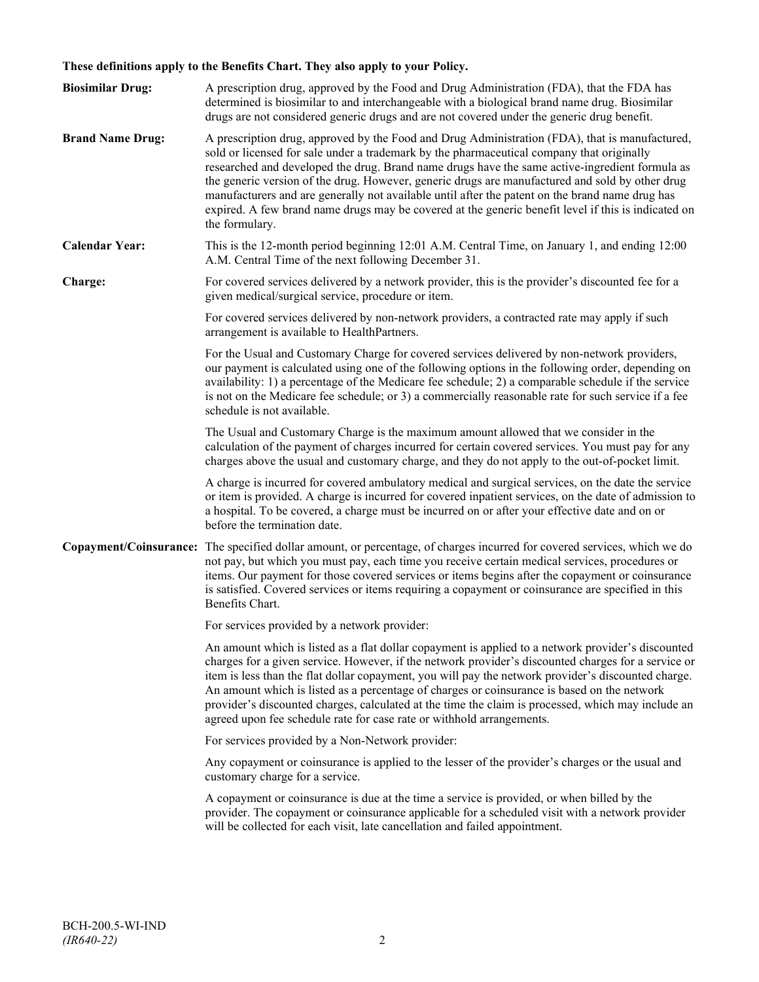## **These definitions apply to the Benefits Chart. They also apply to your Policy.**

| <b>Biosimilar Drug:</b> | A prescription drug, approved by the Food and Drug Administration (FDA), that the FDA has<br>determined is biosimilar to and interchangeable with a biological brand name drug. Biosimilar<br>drugs are not considered generic drugs and are not covered under the generic drug benefit.                                                                                                                                                                                                                                                                                                                                     |
|-------------------------|------------------------------------------------------------------------------------------------------------------------------------------------------------------------------------------------------------------------------------------------------------------------------------------------------------------------------------------------------------------------------------------------------------------------------------------------------------------------------------------------------------------------------------------------------------------------------------------------------------------------------|
| <b>Brand Name Drug:</b> | A prescription drug, approved by the Food and Drug Administration (FDA), that is manufactured,<br>sold or licensed for sale under a trademark by the pharmaceutical company that originally<br>researched and developed the drug. Brand name drugs have the same active-ingredient formula as<br>the generic version of the drug. However, generic drugs are manufactured and sold by other drug<br>manufacturers and are generally not available until after the patent on the brand name drug has<br>expired. A few brand name drugs may be covered at the generic benefit level if this is indicated on<br>the formulary. |
| <b>Calendar Year:</b>   | This is the 12-month period beginning 12:01 A.M. Central Time, on January 1, and ending 12:00<br>A.M. Central Time of the next following December 31.                                                                                                                                                                                                                                                                                                                                                                                                                                                                        |
| Charge:                 | For covered services delivered by a network provider, this is the provider's discounted fee for a<br>given medical/surgical service, procedure or item.                                                                                                                                                                                                                                                                                                                                                                                                                                                                      |
|                         | For covered services delivered by non-network providers, a contracted rate may apply if such<br>arrangement is available to HealthPartners.                                                                                                                                                                                                                                                                                                                                                                                                                                                                                  |
|                         | For the Usual and Customary Charge for covered services delivered by non-network providers,<br>our payment is calculated using one of the following options in the following order, depending on<br>availability: 1) a percentage of the Medicare fee schedule; 2) a comparable schedule if the service<br>is not on the Medicare fee schedule; or 3) a commercially reasonable rate for such service if a fee<br>schedule is not available.                                                                                                                                                                                 |
|                         | The Usual and Customary Charge is the maximum amount allowed that we consider in the<br>calculation of the payment of charges incurred for certain covered services. You must pay for any<br>charges above the usual and customary charge, and they do not apply to the out-of-pocket limit.                                                                                                                                                                                                                                                                                                                                 |
|                         | A charge is incurred for covered ambulatory medical and surgical services, on the date the service<br>or item is provided. A charge is incurred for covered inpatient services, on the date of admission to<br>a hospital. To be covered, a charge must be incurred on or after your effective date and on or<br>before the termination date.                                                                                                                                                                                                                                                                                |
|                         | Copayment/Coinsurance: The specified dollar amount, or percentage, of charges incurred for covered services, which we do<br>not pay, but which you must pay, each time you receive certain medical services, procedures or<br>items. Our payment for those covered services or items begins after the copayment or coinsurance<br>is satisfied. Covered services or items requiring a copayment or coinsurance are specified in this<br>Benefits Chart.                                                                                                                                                                      |
|                         | For services provided by a network provider:                                                                                                                                                                                                                                                                                                                                                                                                                                                                                                                                                                                 |
|                         | An amount which is listed as a flat dollar copayment is applied to a network provider's discounted<br>charges for a given service. However, if the network provider's discounted charges for a service or<br>item is less than the flat dollar copayment, you will pay the network provider's discounted charge.<br>An amount which is listed as a percentage of charges or coinsurance is based on the network<br>provider's discounted charges, calculated at the time the claim is processed, which may include an<br>agreed upon fee schedule rate for case rate or withhold arrangements.                               |
|                         | For services provided by a Non-Network provider:                                                                                                                                                                                                                                                                                                                                                                                                                                                                                                                                                                             |
|                         | Any copayment or coinsurance is applied to the lesser of the provider's charges or the usual and<br>customary charge for a service.                                                                                                                                                                                                                                                                                                                                                                                                                                                                                          |
|                         | A copayment or coinsurance is due at the time a service is provided, or when billed by the<br>provider. The copayment or coinsurance applicable for a scheduled visit with a network provider<br>will be collected for each visit, late cancellation and failed appointment.                                                                                                                                                                                                                                                                                                                                                 |
|                         |                                                                                                                                                                                                                                                                                                                                                                                                                                                                                                                                                                                                                              |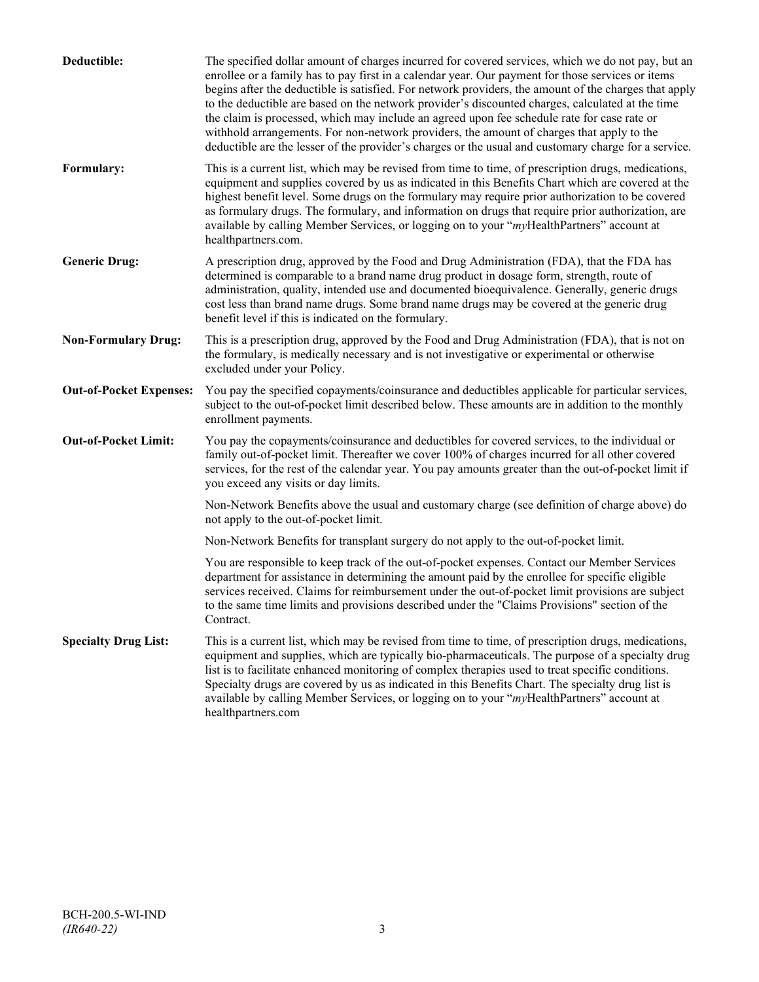| Deductible:                    | The specified dollar amount of charges incurred for covered services, which we do not pay, but an<br>enrollee or a family has to pay first in a calendar year. Our payment for those services or items<br>begins after the deductible is satisfied. For network providers, the amount of the charges that apply<br>to the deductible are based on the network provider's discounted charges, calculated at the time<br>the claim is processed, which may include an agreed upon fee schedule rate for case rate or<br>withhold arrangements. For non-network providers, the amount of charges that apply to the<br>deductible are the lesser of the provider's charges or the usual and customary charge for a service. |
|--------------------------------|-------------------------------------------------------------------------------------------------------------------------------------------------------------------------------------------------------------------------------------------------------------------------------------------------------------------------------------------------------------------------------------------------------------------------------------------------------------------------------------------------------------------------------------------------------------------------------------------------------------------------------------------------------------------------------------------------------------------------|
| Formulary:                     | This is a current list, which may be revised from time to time, of prescription drugs, medications,<br>equipment and supplies covered by us as indicated in this Benefits Chart which are covered at the<br>highest benefit level. Some drugs on the formulary may require prior authorization to be covered<br>as formulary drugs. The formulary, and information on drugs that require prior authorization, are<br>available by calling Member Services, or logging on to your "myHealthPartners" account at<br>healthpartners.com.                                                                                                                                                                                   |
| <b>Generic Drug:</b>           | A prescription drug, approved by the Food and Drug Administration (FDA), that the FDA has<br>determined is comparable to a brand name drug product in dosage form, strength, route of<br>administration, quality, intended use and documented bioequivalence. Generally, generic drugs<br>cost less than brand name drugs. Some brand name drugs may be covered at the generic drug<br>benefit level if this is indicated on the formulary.                                                                                                                                                                                                                                                                             |
| <b>Non-Formulary Drug:</b>     | This is a prescription drug, approved by the Food and Drug Administration (FDA), that is not on<br>the formulary, is medically necessary and is not investigative or experimental or otherwise<br>excluded under your Policy.                                                                                                                                                                                                                                                                                                                                                                                                                                                                                           |
| <b>Out-of-Pocket Expenses:</b> | You pay the specified copayments/coinsurance and deductibles applicable for particular services,<br>subject to the out-of-pocket limit described below. These amounts are in addition to the monthly<br>enrollment payments.                                                                                                                                                                                                                                                                                                                                                                                                                                                                                            |
| <b>Out-of-Pocket Limit:</b>    | You pay the copayments/coinsurance and deductibles for covered services, to the individual or<br>family out-of-pocket limit. Thereafter we cover 100% of charges incurred for all other covered<br>services, for the rest of the calendar year. You pay amounts greater than the out-of-pocket limit if<br>you exceed any visits or day limits.                                                                                                                                                                                                                                                                                                                                                                         |
|                                | Non-Network Benefits above the usual and customary charge (see definition of charge above) do<br>not apply to the out-of-pocket limit.                                                                                                                                                                                                                                                                                                                                                                                                                                                                                                                                                                                  |
|                                | Non-Network Benefits for transplant surgery do not apply to the out-of-pocket limit.                                                                                                                                                                                                                                                                                                                                                                                                                                                                                                                                                                                                                                    |
|                                | You are responsible to keep track of the out-of-pocket expenses. Contact our Member Services<br>department for assistance in determining the amount paid by the enrollee for specific eligible<br>services received. Claims for reimbursement under the out-of-pocket limit provisions are subject<br>to the same time limits and provisions described under the "Claims Provisions" section of the<br>Contract.                                                                                                                                                                                                                                                                                                        |
| <b>Specialty Drug List:</b>    | This is a current list, which may be revised from time to time, of prescription drugs, medications,<br>equipment and supplies, which are typically bio-pharmaceuticals. The purpose of a specialty drug<br>list is to facilitate enhanced monitoring of complex therapies used to treat specific conditions.<br>Specialty drugs are covered by us as indicated in this Benefits Chart. The specialty drug list is<br>available by calling Member Services, or logging on to your "myHealthPartners" account at<br>healthpartners.com                                                                                                                                                                                    |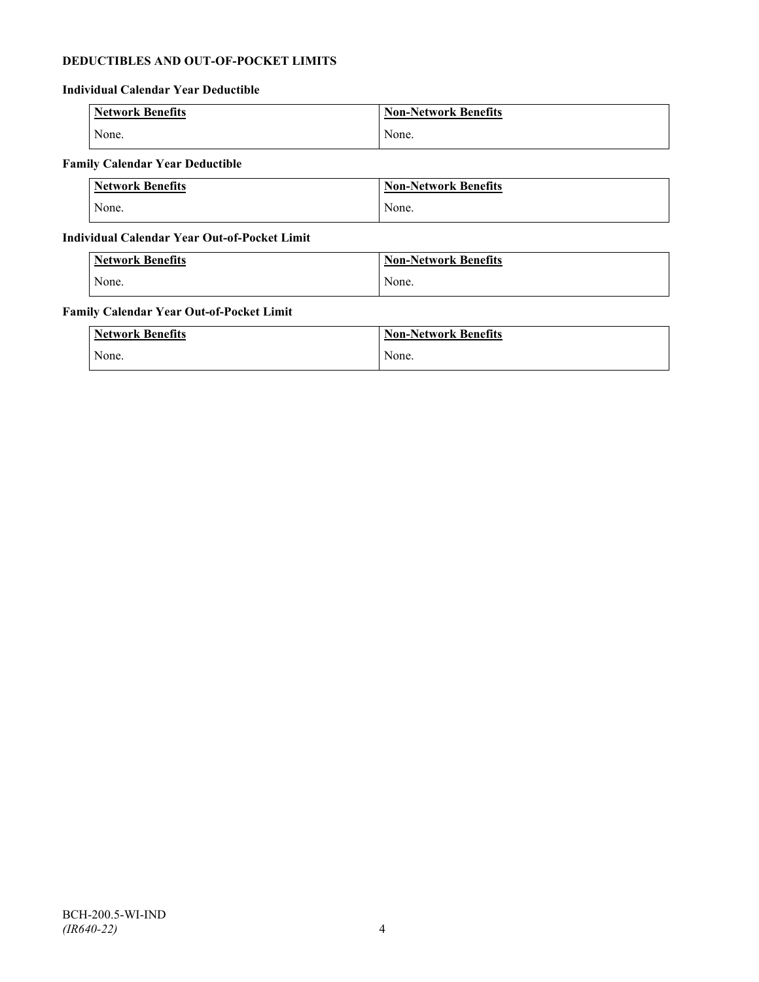## **DEDUCTIBLES AND OUT-OF-POCKET LIMITS**

## **Individual Calendar Year Deductible**

| <b>Network Benefits</b> | <b>Non-Network Benefits</b> |
|-------------------------|-----------------------------|
| None.                   | None.                       |

## **Family Calendar Year Deductible**

| <b>Network Benefits</b> | Non-Network Benefits |
|-------------------------|----------------------|
| None.                   | None.                |

## **Individual Calendar Year Out-of-Pocket Limit**

| Network Benefits | <b>Non-Network Benefits</b> |
|------------------|-----------------------------|
| None.            | None.                       |

## **Family Calendar Year Out-of-Pocket Limit**

| <b>Network Benefits</b> | <b>Non-Network Benefits</b> |
|-------------------------|-----------------------------|
| None.                   | None.                       |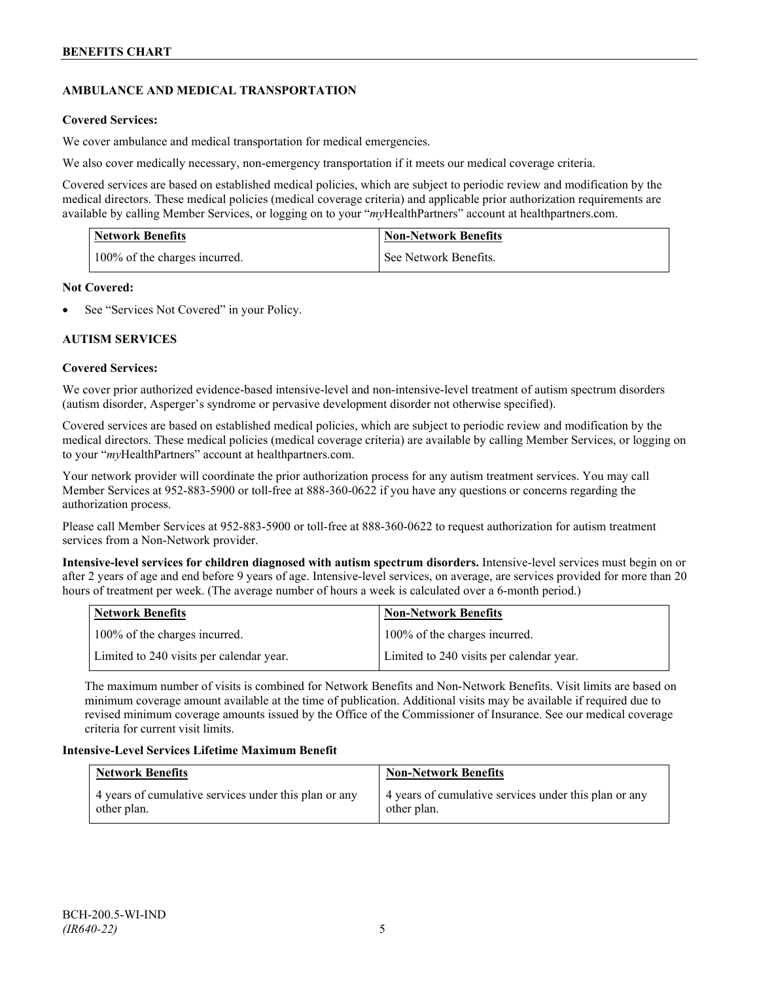## **AMBULANCE AND MEDICAL TRANSPORTATION**

## **Covered Services:**

We cover ambulance and medical transportation for medical emergencies.

We also cover medically necessary, non-emergency transportation if it meets our medical coverage criteria.

Covered services are based on established medical policies, which are subject to periodic review and modification by the medical directors. These medical policies (medical coverage criteria) and applicable prior authorization requirements are available by calling Member Services, or logging on to your "*my*HealthPartners" account a[t healthpartners.com.](http://www.healthpartners.com/)

| <b>Network Benefits</b>       | <b>Non-Network Benefits</b> |
|-------------------------------|-----------------------------|
| 100% of the charges incurred. | See Network Benefits.       |

#### **Not Covered:**

See "Services Not Covered" in your Policy.

## **AUTISM SERVICES**

## **Covered Services:**

We cover prior authorized evidence-based intensive-level and non-intensive-level treatment of autism spectrum disorders (autism disorder, Asperger's syndrome or pervasive development disorder not otherwise specified).

Covered services are based on established medical policies, which are subject to periodic review and modification by the medical directors. These medical policies (medical coverage criteria) are available by calling Member Services, or logging on to your "*my*HealthPartners" account at [healthpartners.com.](http://www.healthpartners.com/)

Your network provider will coordinate the prior authorization process for any autism treatment services. You may call Member Services at 952-883-5900 or toll-free at 888-360-0622 if you have any questions or concerns regarding the authorization process.

Please call Member Services at 952-883-5900 or toll-free at 888-360-0622 to request authorization for autism treatment services from a Non-Network provider.

**Intensive-level services for children diagnosed with autism spectrum disorders.** Intensive-level services must begin on or after 2 years of age and end before 9 years of age. Intensive-level services, on average, are services provided for more than 20 hours of treatment per week. (The average number of hours a week is calculated over a 6-month period.)

| Network Benefits                         | <b>Non-Network Benefits</b>              |
|------------------------------------------|------------------------------------------|
| 100% of the charges incurred.            | 100% of the charges incurred.            |
| Limited to 240 visits per calendar year. | Limited to 240 visits per calendar year. |

The maximum number of visits is combined for Network Benefits and Non-Network Benefits. Visit limits are based on minimum coverage amount available at the time of publication. Additional visits may be available if required due to revised minimum coverage amounts issued by the Office of the Commissioner of Insurance. See our medical coverage criteria for current visit limits.

## **Intensive-Level Services Lifetime Maximum Benefit**

| <b>Network Benefits</b>                               | <b>Non-Network Benefits</b>                           |
|-------------------------------------------------------|-------------------------------------------------------|
| 4 years of cumulative services under this plan or any | 4 years of cumulative services under this plan or any |
| other plan.                                           | other plan.                                           |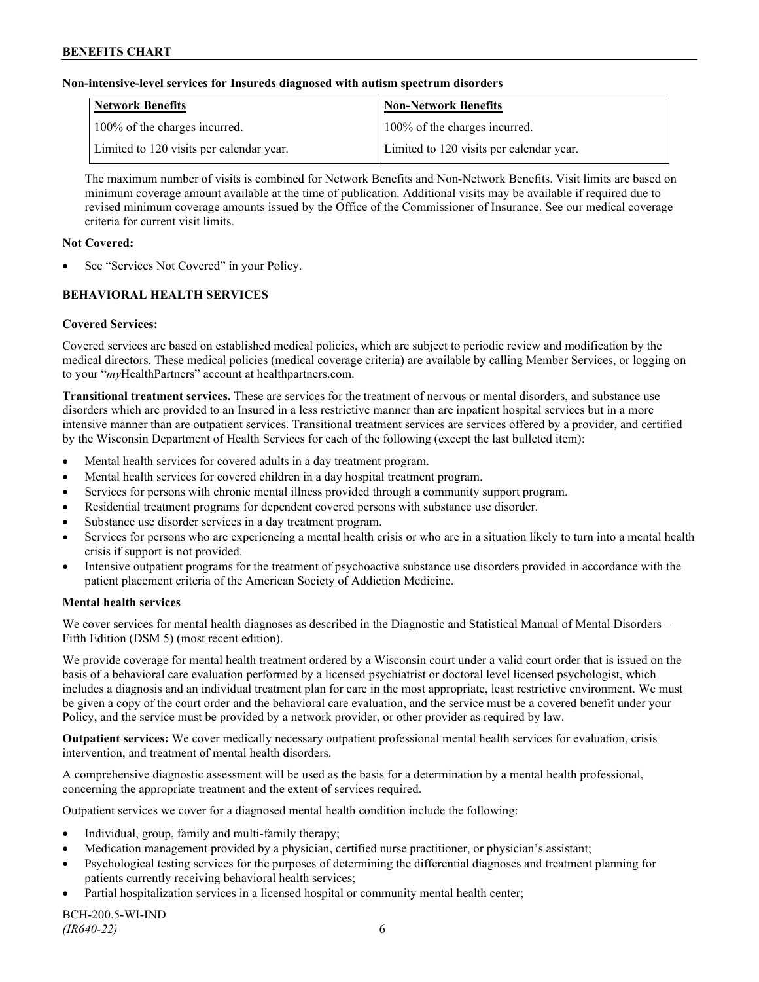### **Non-intensive-level services for Insureds diagnosed with autism spectrum disorders**

| Network Benefits                         | <b>Non-Network Benefits</b>              |
|------------------------------------------|------------------------------------------|
| 100% of the charges incurred.            | 100% of the charges incurred.            |
| Limited to 120 visits per calendar year. | Limited to 120 visits per calendar year. |

The maximum number of visits is combined for Network Benefits and Non-Network Benefits. Visit limits are based on minimum coverage amount available at the time of publication. Additional visits may be available if required due to revised minimum coverage amounts issued by the Office of the Commissioner of Insurance. See our medical coverage criteria for current visit limits.

### **Not Covered:**

See "Services Not Covered" in your Policy.

## **BEHAVIORAL HEALTH SERVICES**

## **Covered Services:**

Covered services are based on established medical policies, which are subject to periodic review and modification by the medical directors. These medical policies (medical coverage criteria) are available by calling Member Services, or logging on to your "*my*HealthPartners" account at [healthpartners.com.](http://www.healthpartners.com/)

**Transitional treatment services.** These are services for the treatment of nervous or mental disorders, and substance use disorders which are provided to an Insured in a less restrictive manner than are inpatient hospital services but in a more intensive manner than are outpatient services. Transitional treatment services are services offered by a provider, and certified by the Wisconsin Department of Health Services for each of the following (except the last bulleted item):

- Mental health services for covered adults in a day treatment program.
- Mental health services for covered children in a day hospital treatment program.
- Services for persons with chronic mental illness provided through a community support program.
- Residential treatment programs for dependent covered persons with substance use disorder.
- Substance use disorder services in a day treatment program.
- Services for persons who are experiencing a mental health crisis or who are in a situation likely to turn into a mental health crisis if support is not provided.
- Intensive outpatient programs for the treatment of psychoactive substance use disorders provided in accordance with the patient placement criteria of the American Society of Addiction Medicine.

## **Mental health services**

We cover services for mental health diagnoses as described in the Diagnostic and Statistical Manual of Mental Disorders – Fifth Edition (DSM 5) (most recent edition).

We provide coverage for mental health treatment ordered by a Wisconsin court under a valid court order that is issued on the basis of a behavioral care evaluation performed by a licensed psychiatrist or doctoral level licensed psychologist, which includes a diagnosis and an individual treatment plan for care in the most appropriate, least restrictive environment. We must be given a copy of the court order and the behavioral care evaluation, and the service must be a covered benefit under your Policy, and the service must be provided by a network provider, or other provider as required by law.

**Outpatient services:** We cover medically necessary outpatient professional mental health services for evaluation, crisis intervention, and treatment of mental health disorders.

A comprehensive diagnostic assessment will be used as the basis for a determination by a mental health professional, concerning the appropriate treatment and the extent of services required.

Outpatient services we cover for a diagnosed mental health condition include the following:

- Individual, group, family and multi-family therapy;
- Medication management provided by a physician, certified nurse practitioner, or physician's assistant;
- Psychological testing services for the purposes of determining the differential diagnoses and treatment planning for patients currently receiving behavioral health services;
- Partial hospitalization services in a licensed hospital or community mental health center;

BCH-200.5-WI-IND *(IR640-22)* 6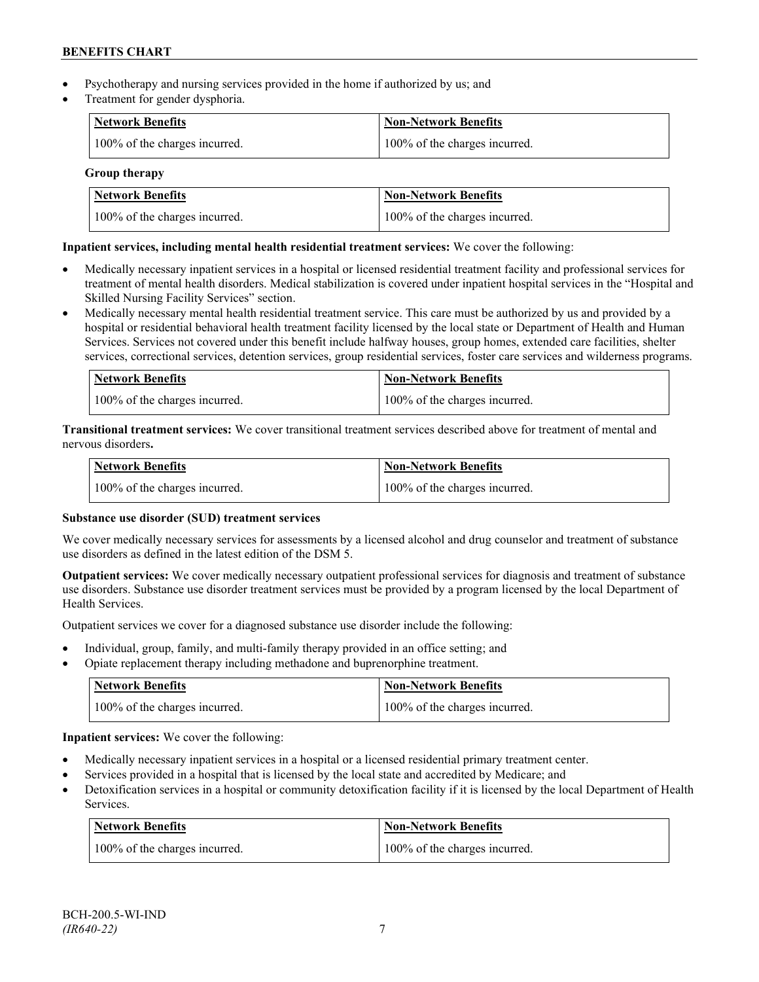- Psychotherapy and nursing services provided in the home if authorized by us; and
- Treatment for gender dysphoria.

| <b>Network Benefits</b>       | <b>Non-Network Benefits</b>   |
|-------------------------------|-------------------------------|
| 100% of the charges incurred. | 100% of the charges incurred. |

## **Group therapy**

| Network Benefits              | <b>Non-Network Benefits</b>   |
|-------------------------------|-------------------------------|
| 100% of the charges incurred. | 100% of the charges incurred. |

## **Inpatient services, including mental health residential treatment services:** We cover the following:

- Medically necessary inpatient services in a hospital or licensed residential treatment facility and professional services for treatment of mental health disorders. Medical stabilization is covered under inpatient hospital services in the "Hospital and Skilled Nursing Facility Services" section.
- Medically necessary mental health residential treatment service. This care must be authorized by us and provided by a hospital or residential behavioral health treatment facility licensed by the local state or Department of Health and Human Services. Services not covered under this benefit include halfway houses, group homes, extended care facilities, shelter services, correctional services, detention services, group residential services, foster care services and wilderness programs.

| Network Benefits              | Non-Network Benefits          |
|-------------------------------|-------------------------------|
| 100% of the charges incurred. | 100% of the charges incurred. |

**Transitional treatment services:** We cover transitional treatment services described above for treatment of mental and nervous disorders**.**

| <b>Network Benefits</b>       | <b>Non-Network Benefits</b>   |
|-------------------------------|-------------------------------|
| 100% of the charges incurred. | 100% of the charges incurred. |

## **Substance use disorder (SUD) treatment services**

We cover medically necessary services for assessments by a licensed alcohol and drug counselor and treatment of substance use disorders as defined in the latest edition of the DSM 5.

**Outpatient services:** We cover medically necessary outpatient professional services for diagnosis and treatment of substance use disorders. Substance use disorder treatment services must be provided by a program licensed by the local Department of Health Services.

Outpatient services we cover for a diagnosed substance use disorder include the following:

- Individual, group, family, and multi-family therapy provided in an office setting; and
- Opiate replacement therapy including methadone and buprenorphine treatment.

| <b>Network Benefits</b>       | <b>Non-Network Benefits</b>   |
|-------------------------------|-------------------------------|
| 100% of the charges incurred. | 100% of the charges incurred. |

**Inpatient services:** We cover the following:

- Medically necessary inpatient services in a hospital or a licensed residential primary treatment center.
- Services provided in a hospital that is licensed by the local state and accredited by Medicare; and
- Detoxification services in a hospital or community detoxification facility if it is licensed by the local Department of Health Services.

| <b>Network Benefits</b>       | <b>Non-Network Benefits</b>   |
|-------------------------------|-------------------------------|
| 100% of the charges incurred. | 100% of the charges incurred. |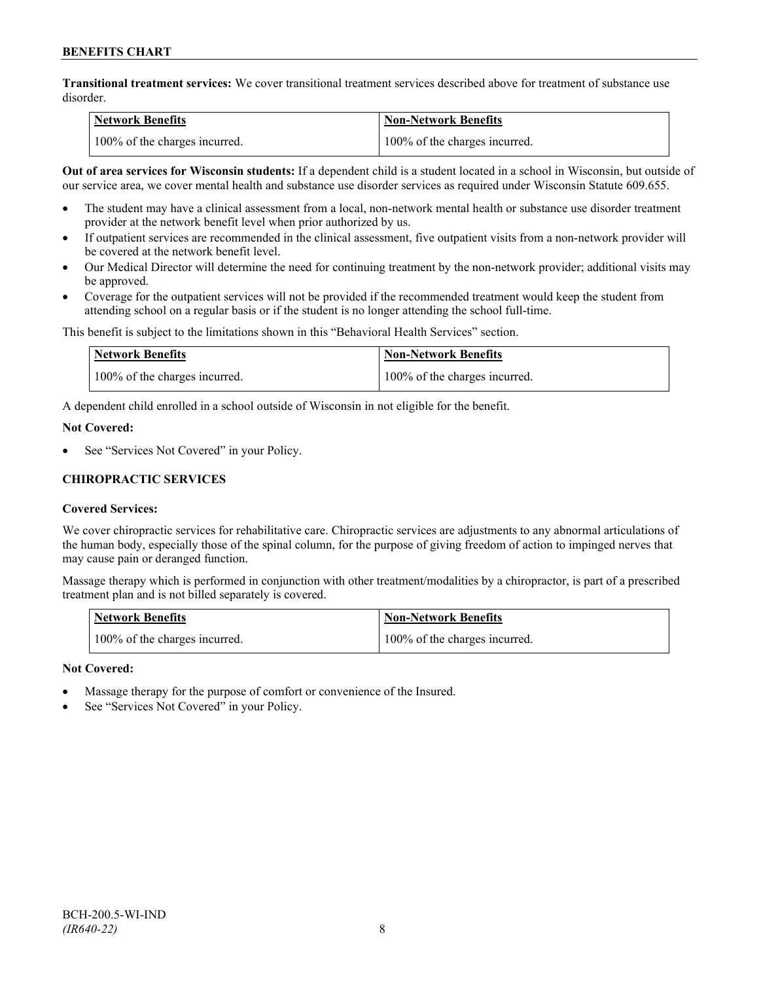**Transitional treatment services:** We cover transitional treatment services described above for treatment of substance use disorder.

| Network Benefits              | <b>Non-Network Benefits</b>   |
|-------------------------------|-------------------------------|
| 100% of the charges incurred. | 100% of the charges incurred. |

**Out of area services for Wisconsin students:** If a dependent child is a student located in a school in Wisconsin, but outside of our service area, we cover mental health and substance use disorder services as required under Wisconsin Statute 609.655.

- The student may have a clinical assessment from a local, non-network mental health or substance use disorder treatment provider at the network benefit level when prior authorized by us.
- If outpatient services are recommended in the clinical assessment, five outpatient visits from a non-network provider will be covered at the network benefit level.
- Our Medical Director will determine the need for continuing treatment by the non-network provider; additional visits may be approved.
- Coverage for the outpatient services will not be provided if the recommended treatment would keep the student from attending school on a regular basis or if the student is no longer attending the school full-time.

This benefit is subject to the limitations shown in this "Behavioral Health Services" section.

| Network Benefits              | <b>Non-Network Benefits</b>   |
|-------------------------------|-------------------------------|
| 100% of the charges incurred. | 100% of the charges incurred. |

A dependent child enrolled in a school outside of Wisconsin in not eligible for the benefit.

#### **Not Covered:**

See "Services Not Covered" in your Policy.

## **CHIROPRACTIC SERVICES**

## **Covered Services:**

We cover chiropractic services for rehabilitative care. Chiropractic services are adjustments to any abnormal articulations of the human body, especially those of the spinal column, for the purpose of giving freedom of action to impinged nerves that may cause pain or deranged function.

Massage therapy which is performed in conjunction with other treatment/modalities by a chiropractor, is part of a prescribed treatment plan and is not billed separately is covered.

| <b>Network Benefits</b>       | 'Non-Network Benefits         |
|-------------------------------|-------------------------------|
| 100% of the charges incurred. | 100% of the charges incurred. |

## **Not Covered:**

- Massage therapy for the purpose of comfort or convenience of the Insured.
- See "Services Not Covered" in your Policy.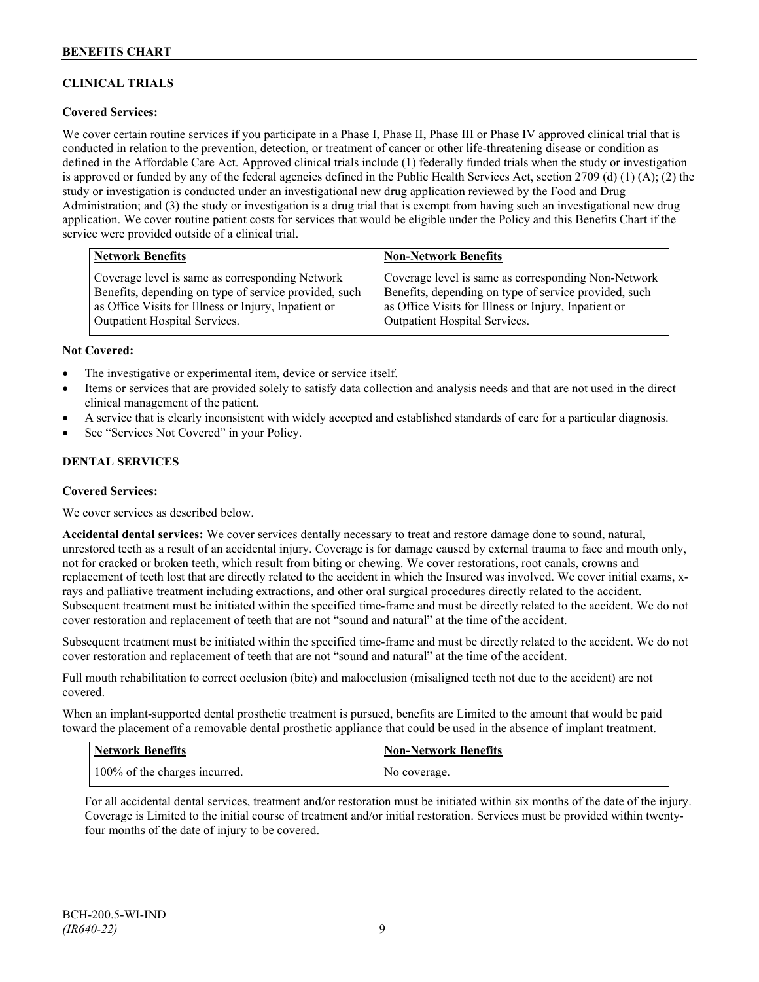## **CLINICAL TRIALS**

## **Covered Services:**

We cover certain routine services if you participate in a Phase I, Phase II, Phase III or Phase IV approved clinical trial that is conducted in relation to the prevention, detection, or treatment of cancer or other life-threatening disease or condition as defined in the Affordable Care Act. Approved clinical trials include (1) federally funded trials when the study or investigation is approved or funded by any of the federal agencies defined in the Public Health Services Act, section 2709 (d) (1) (A); (2) the study or investigation is conducted under an investigational new drug application reviewed by the Food and Drug Administration; and (3) the study or investigation is a drug trial that is exempt from having such an investigational new drug application. We cover routine patient costs for services that would be eligible under the Policy and this Benefits Chart if the service were provided outside of a clinical trial.

| <b>Network Benefits</b>                               | <b>Non-Network Benefits</b>                           |
|-------------------------------------------------------|-------------------------------------------------------|
| Coverage level is same as corresponding Network       | Coverage level is same as corresponding Non-Network   |
| Benefits, depending on type of service provided, such | Benefits, depending on type of service provided, such |
| as Office Visits for Illness or Injury, Inpatient or  | as Office Visits for Illness or Injury, Inpatient or  |
| <b>Outpatient Hospital Services.</b>                  | <b>Outpatient Hospital Services.</b>                  |

#### **Not Covered:**

- The investigative or experimental item, device or service itself.
- Items or services that are provided solely to satisfy data collection and analysis needs and that are not used in the direct clinical management of the patient.
- A service that is clearly inconsistent with widely accepted and established standards of care for a particular diagnosis.
- See "Services Not Covered" in your Policy.

## **DENTAL SERVICES**

#### **Covered Services:**

We cover services as described below.

**Accidental dental services:** We cover services dentally necessary to treat and restore damage done to sound, natural, unrestored teeth as a result of an accidental injury. Coverage is for damage caused by external trauma to face and mouth only, not for cracked or broken teeth, which result from biting or chewing. We cover restorations, root canals, crowns and replacement of teeth lost that are directly related to the accident in which the Insured was involved. We cover initial exams, xrays and palliative treatment including extractions, and other oral surgical procedures directly related to the accident. Subsequent treatment must be initiated within the specified time-frame and must be directly related to the accident. We do not cover restoration and replacement of teeth that are not "sound and natural" at the time of the accident.

Subsequent treatment must be initiated within the specified time-frame and must be directly related to the accident. We do not cover restoration and replacement of teeth that are not "sound and natural" at the time of the accident.

Full mouth rehabilitation to correct occlusion (bite) and malocclusion (misaligned teeth not due to the accident) are not covered.

When an implant-supported dental prosthetic treatment is pursued, benefits are Limited to the amount that would be paid toward the placement of a removable dental prosthetic appliance that could be used in the absence of implant treatment.

| <b>Network Benefits</b>       | <b>Non-Network Benefits</b> |
|-------------------------------|-----------------------------|
| 100% of the charges incurred. | No coverage.                |

For all accidental dental services, treatment and/or restoration must be initiated within six months of the date of the injury. Coverage is Limited to the initial course of treatment and/or initial restoration. Services must be provided within twentyfour months of the date of injury to be covered.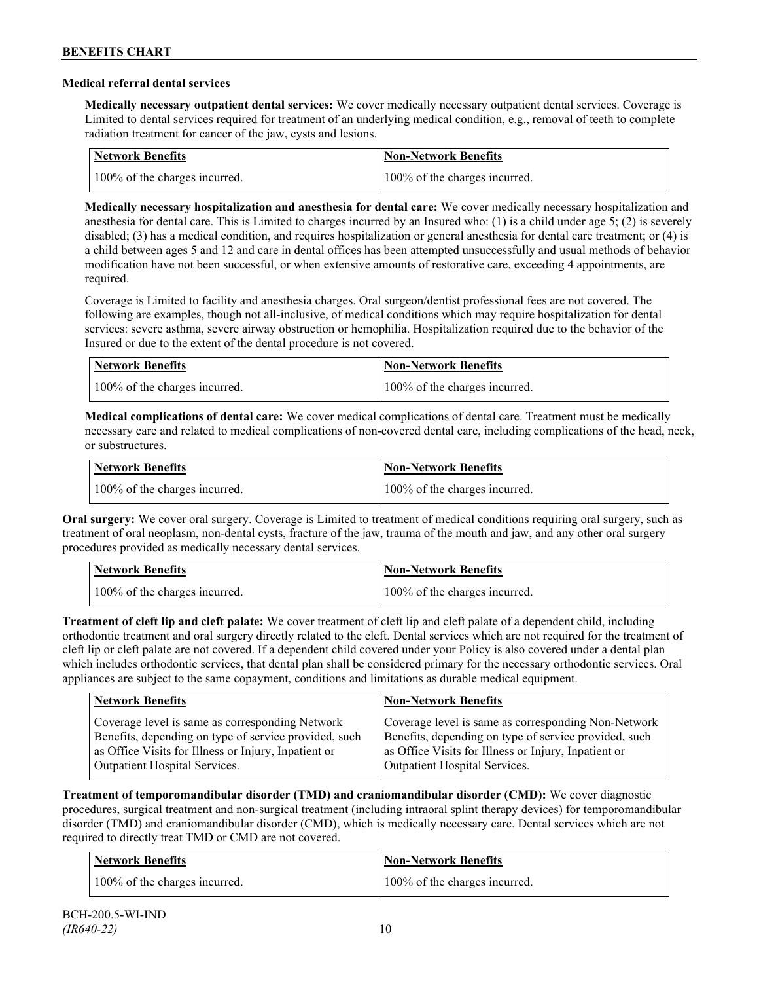### **Medical referral dental services**

**Medically necessary outpatient dental services:** We cover medically necessary outpatient dental services. Coverage is Limited to dental services required for treatment of an underlying medical condition, e.g., removal of teeth to complete radiation treatment for cancer of the jaw, cysts and lesions.

| Network Benefits              | <b>Non-Network Benefits</b>   |
|-------------------------------|-------------------------------|
| 100% of the charges incurred. | 100% of the charges incurred. |

**Medically necessary hospitalization and anesthesia for dental care:** We cover medically necessary hospitalization and anesthesia for dental care. This is Limited to charges incurred by an Insured who: (1) is a child under age 5; (2) is severely disabled; (3) has a medical condition, and requires hospitalization or general anesthesia for dental care treatment; or (4) is a child between ages 5 and 12 and care in dental offices has been attempted unsuccessfully and usual methods of behavior modification have not been successful, or when extensive amounts of restorative care, exceeding 4 appointments, are required.

Coverage is Limited to facility and anesthesia charges. Oral surgeon/dentist professional fees are not covered. The following are examples, though not all-inclusive, of medical conditions which may require hospitalization for dental services: severe asthma, severe airway obstruction or hemophilia. Hospitalization required due to the behavior of the Insured or due to the extent of the dental procedure is not covered.

| Network Benefits              | <b>Non-Network Benefits</b>   |
|-------------------------------|-------------------------------|
| 100% of the charges incurred. | 100% of the charges incurred. |

**Medical complications of dental care:** We cover medical complications of dental care. Treatment must be medically necessary care and related to medical complications of non-covered dental care, including complications of the head, neck, or substructures.

| Network Benefits              | Non-Network Benefits          |
|-------------------------------|-------------------------------|
| 100% of the charges incurred. | 100% of the charges incurred. |

**Oral surgery:** We cover oral surgery. Coverage is Limited to treatment of medical conditions requiring oral surgery, such as treatment of oral neoplasm, non-dental cysts, fracture of the jaw, trauma of the mouth and jaw, and any other oral surgery procedures provided as medically necessary dental services.

| <b>Network Benefits</b>       | <b>Non-Network Benefits</b>   |
|-------------------------------|-------------------------------|
| 100% of the charges incurred. | 100% of the charges incurred. |

**Treatment of cleft lip and cleft palate:** We cover treatment of cleft lip and cleft palate of a dependent child, including orthodontic treatment and oral surgery directly related to the cleft. Dental services which are not required for the treatment of cleft lip or cleft palate are not covered. If a dependent child covered under your Policy is also covered under a dental plan which includes orthodontic services, that dental plan shall be considered primary for the necessary orthodontic services. Oral appliances are subject to the same copayment, conditions and limitations as durable medical equipment.

| <b>Network Benefits</b>                               | <b>Non-Network Benefits</b>                           |
|-------------------------------------------------------|-------------------------------------------------------|
| Coverage level is same as corresponding Network       | Coverage level is same as corresponding Non-Network   |
| Benefits, depending on type of service provided, such | Benefits, depending on type of service provided, such |
| as Office Visits for Illness or Injury, Inpatient or  | as Office Visits for Illness or Injury, Inpatient or  |
| Outpatient Hospital Services.                         | Outpatient Hospital Services.                         |

**Treatment of temporomandibular disorder (TMD) and craniomandibular disorder (CMD):** We cover diagnostic procedures, surgical treatment and non-surgical treatment (including intraoral splint therapy devices) for temporomandibular disorder (TMD) and craniomandibular disorder (CMD), which is medically necessary care. Dental services which are not required to directly treat TMD or CMD are not covered.

| <b>Network Benefits</b>       | <b>Non-Network Benefits</b>   |
|-------------------------------|-------------------------------|
| 100% of the charges incurred. | 100% of the charges incurred. |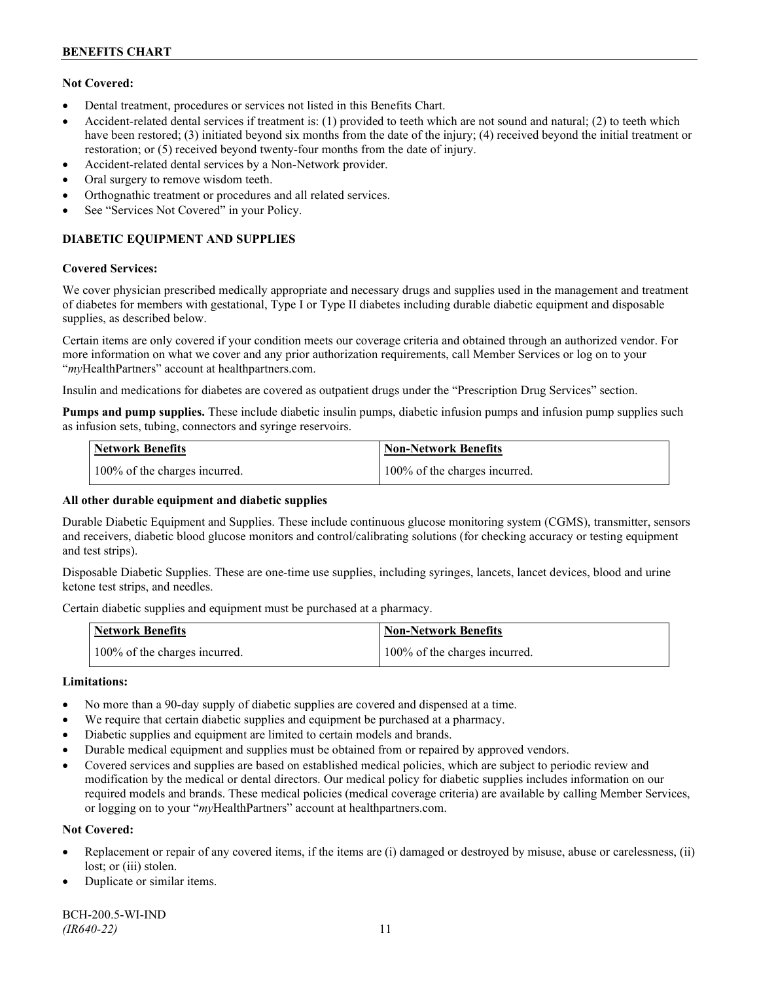## **Not Covered:**

- Dental treatment, procedures or services not listed in this Benefits Chart.
- Accident-related dental services if treatment is: (1) provided to teeth which are not sound and natural; (2) to teeth which have been restored; (3) initiated beyond six months from the date of the injury; (4) received beyond the initial treatment or restoration; or (5) received beyond twenty-four months from the date of injury.
- Accident-related dental services by a Non-Network provider.
- Oral surgery to remove wisdom teeth.
- Orthognathic treatment or procedures and all related services.
- See "Services Not Covered" in your Policy.

## **DIABETIC EQUIPMENT AND SUPPLIES**

#### **Covered Services:**

We cover physician prescribed medically appropriate and necessary drugs and supplies used in the management and treatment of diabetes for members with gestational, Type I or Type II diabetes including durable diabetic equipment and disposable supplies, as described below.

Certain items are only covered if your condition meets our coverage criteria and obtained through an authorized vendor. For more information on what we cover and any prior authorization requirements, call Member Services or log on to your "*my*HealthPartners" account at [healthpartners.com.](http://www.healthpartners.com/)

Insulin and medications for diabetes are covered as outpatient drugs under the "Prescription Drug Services" section.

**Pumps and pump supplies.** These include diabetic insulin pumps, diabetic infusion pumps and infusion pump supplies such as infusion sets, tubing, connectors and syringe reservoirs.

| <b>Network Benefits</b>       | <b>Non-Network Benefits</b>   |
|-------------------------------|-------------------------------|
| 100% of the charges incurred. | 100% of the charges incurred. |

## **All other durable equipment and diabetic supplies**

Durable Diabetic Equipment and Supplies. These include continuous glucose monitoring system (CGMS), transmitter, sensors and receivers, diabetic blood glucose monitors and control/calibrating solutions (for checking accuracy or testing equipment and test strips).

Disposable Diabetic Supplies. These are one-time use supplies, including syringes, lancets, lancet devices, blood and urine ketone test strips, and needles.

Certain diabetic supplies and equipment must be purchased at a pharmacy.

| <b>Network Benefits</b>       | <b>Non-Network Benefits</b>   |
|-------------------------------|-------------------------------|
| 100% of the charges incurred. | 100% of the charges incurred. |

## **Limitations:**

- No more than a 90-day supply of diabetic supplies are covered and dispensed at a time.
- We require that certain diabetic supplies and equipment be purchased at a pharmacy.
- Diabetic supplies and equipment are limited to certain models and brands.
- Durable medical equipment and supplies must be obtained from or repaired by approved vendors.
- Covered services and supplies are based on established medical policies, which are subject to periodic review and modification by the medical or dental directors. Our medical policy for diabetic supplies includes information on our required models and brands. These medical policies (medical coverage criteria) are available by calling Member Services, or logging on to your "*my*HealthPartners" account at healthpartners.com.

## **Not Covered:**

- Replacement or repair of any covered items, if the items are (i) damaged or destroyed by misuse, abuse or carelessness, (ii) lost; or (iii) stolen.
- Duplicate or similar items.

BCH-200.5-WI-IND *(IR640-22)* 11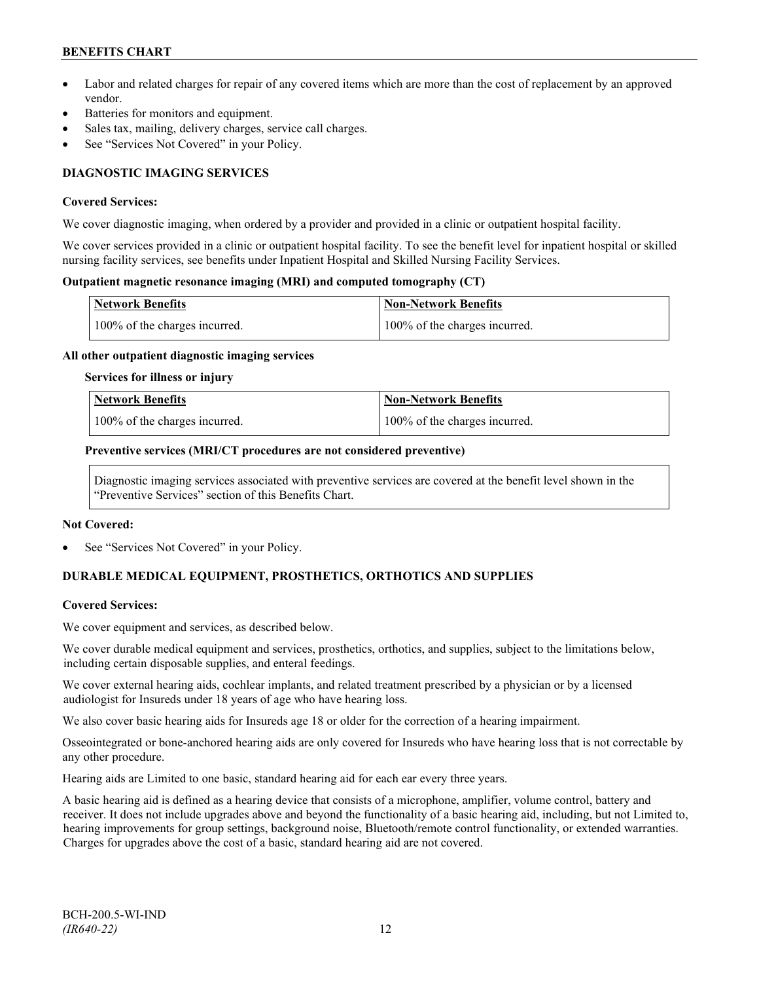- Labor and related charges for repair of any covered items which are more than the cost of replacement by an approved vendor.
- Batteries for monitors and equipment.
- Sales tax, mailing, delivery charges, service call charges.
- See "Services Not Covered" in your Policy.

## **DIAGNOSTIC IMAGING SERVICES**

#### **Covered Services:**

We cover diagnostic imaging, when ordered by a provider and provided in a clinic or outpatient hospital facility.

We cover services provided in a clinic or outpatient hospital facility. To see the benefit level for inpatient hospital or skilled nursing facility services, see benefits under Inpatient Hospital and Skilled Nursing Facility Services.

### **Outpatient magnetic resonance imaging (MRI) and computed tomography (CT)**

| <b>Network Benefits</b>       | <b>Non-Network Benefits</b>   |
|-------------------------------|-------------------------------|
| 100% of the charges incurred. | 100% of the charges incurred. |

#### **All other outpatient diagnostic imaging services**

#### **Services for illness or injury**

| <b>Network Benefits</b>       | <b>Non-Network Benefits</b>      |
|-------------------------------|----------------------------------|
| 100% of the charges incurred. | $100\%$ of the charges incurred. |

#### **Preventive services (MRI/CT procedures are not considered preventive)**

Diagnostic imaging services associated with preventive services are covered at the benefit level shown in the "Preventive Services" section of this Benefits Chart.

#### **Not Covered:**

See "Services Not Covered" in your Policy.

## **DURABLE MEDICAL EQUIPMENT, PROSTHETICS, ORTHOTICS AND SUPPLIES**

## **Covered Services:**

We cover equipment and services, as described below.

We cover durable medical equipment and services, prosthetics, orthotics, and supplies, subject to the limitations below, including certain disposable supplies, and enteral feedings.

We cover external hearing aids, cochlear implants, and related treatment prescribed by a physician or by a licensed audiologist for Insureds under 18 years of age who have hearing loss.

We also cover basic hearing aids for Insureds age 18 or older for the correction of a hearing impairment.

Osseointegrated or bone-anchored hearing aids are only covered for Insureds who have hearing loss that is not correctable by any other procedure.

Hearing aids are Limited to one basic, standard hearing aid for each ear every three years.

A basic hearing aid is defined as a hearing device that consists of a microphone, amplifier, volume control, battery and receiver. It does not include upgrades above and beyond the functionality of a basic hearing aid, including, but not Limited to, hearing improvements for group settings, background noise, Bluetooth/remote control functionality, or extended warranties. Charges for upgrades above the cost of a basic, standard hearing aid are not covered.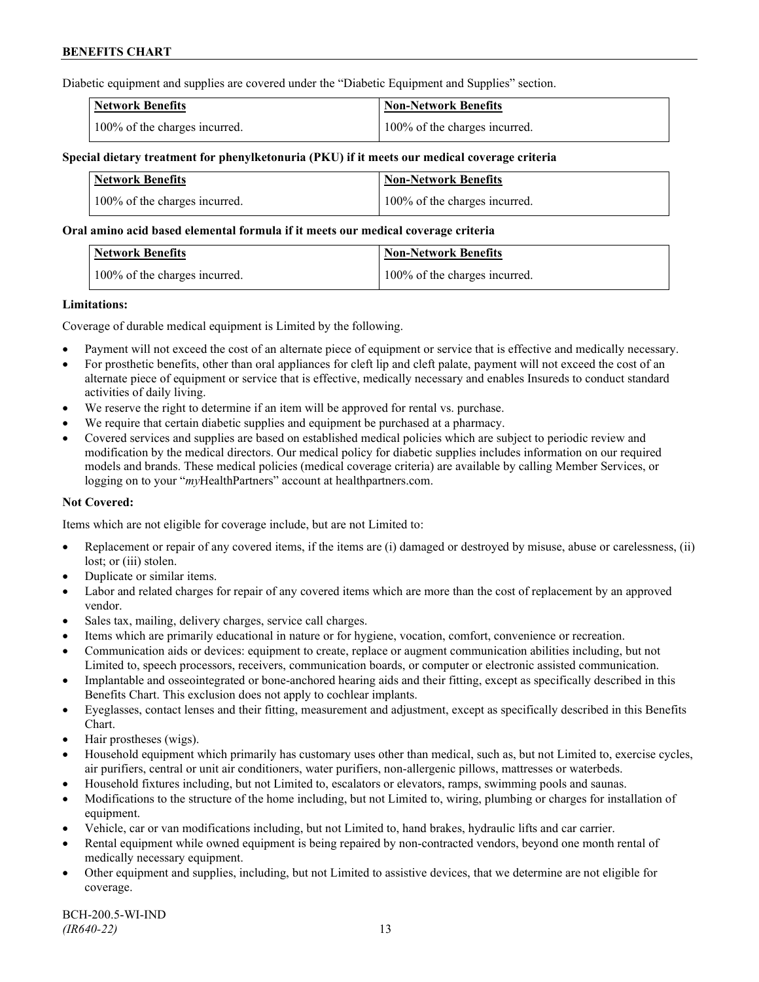Diabetic equipment and supplies are covered under the "Diabetic Equipment and Supplies" section.

| <b>Network Benefits</b>       | <b>Non-Network Benefits</b>   |
|-------------------------------|-------------------------------|
| 100% of the charges incurred. | 100% of the charges incurred. |

### **Special dietary treatment for phenylketonuria (PKU) if it meets our medical coverage criteria**

| <b>Network Benefits</b>       | <b>Non-Network Benefits</b>   |
|-------------------------------|-------------------------------|
| 100% of the charges incurred. | 100% of the charges incurred. |

#### **Oral amino acid based elemental formula if it meets our medical coverage criteria**

| Network Benefits              | Non-Network Benefits          |
|-------------------------------|-------------------------------|
| 100% of the charges incurred. | 100% of the charges incurred. |

#### **Limitations:**

Coverage of durable medical equipment is Limited by the following.

- Payment will not exceed the cost of an alternate piece of equipment or service that is effective and medically necessary.
- For prosthetic benefits, other than oral appliances for cleft lip and cleft palate, payment will not exceed the cost of an alternate piece of equipment or service that is effective, medically necessary and enables Insureds to conduct standard activities of daily living.
- We reserve the right to determine if an item will be approved for rental vs. purchase.
- We require that certain diabetic supplies and equipment be purchased at a pharmacy.
- Covered services and supplies are based on established medical policies which are subject to periodic review and modification by the medical directors. Our medical policy for diabetic supplies includes information on our required models and brands. These medical policies (medical coverage criteria) are available by calling Member Services, or logging on to your "*my*HealthPartners" account at [healthpartners.com.](http://www.healthpartners.com/)

## **Not Covered:**

Items which are not eligible for coverage include, but are not Limited to:

- Replacement or repair of any covered items, if the items are (i) damaged or destroyed by misuse, abuse or carelessness, (ii) lost; or (iii) stolen.
- Duplicate or similar items.
- Labor and related charges for repair of any covered items which are more than the cost of replacement by an approved vendor.
- Sales tax, mailing, delivery charges, service call charges.
- Items which are primarily educational in nature or for hygiene, vocation, comfort, convenience or recreation.
- Communication aids or devices: equipment to create, replace or augment communication abilities including, but not Limited to, speech processors, receivers, communication boards, or computer or electronic assisted communication.
- Implantable and osseointegrated or bone-anchored hearing aids and their fitting, except as specifically described in this Benefits Chart. This exclusion does not apply to cochlear implants.
- Eyeglasses, contact lenses and their fitting, measurement and adjustment, except as specifically described in this Benefits Chart.
- Hair prostheses (wigs).
- Household equipment which primarily has customary uses other than medical, such as, but not Limited to, exercise cycles, air purifiers, central or unit air conditioners, water purifiers, non-allergenic pillows, mattresses or waterbeds.
- Household fixtures including, but not Limited to, escalators or elevators, ramps, swimming pools and saunas.
- Modifications to the structure of the home including, but not Limited to, wiring, plumbing or charges for installation of equipment.
- Vehicle, car or van modifications including, but not Limited to, hand brakes, hydraulic lifts and car carrier.
- Rental equipment while owned equipment is being repaired by non-contracted vendors, beyond one month rental of medically necessary equipment.
- Other equipment and supplies, including, but not Limited to assistive devices, that we determine are not eligible for coverage.

BCH-200.5-WI-IND *(IR640-22)* 13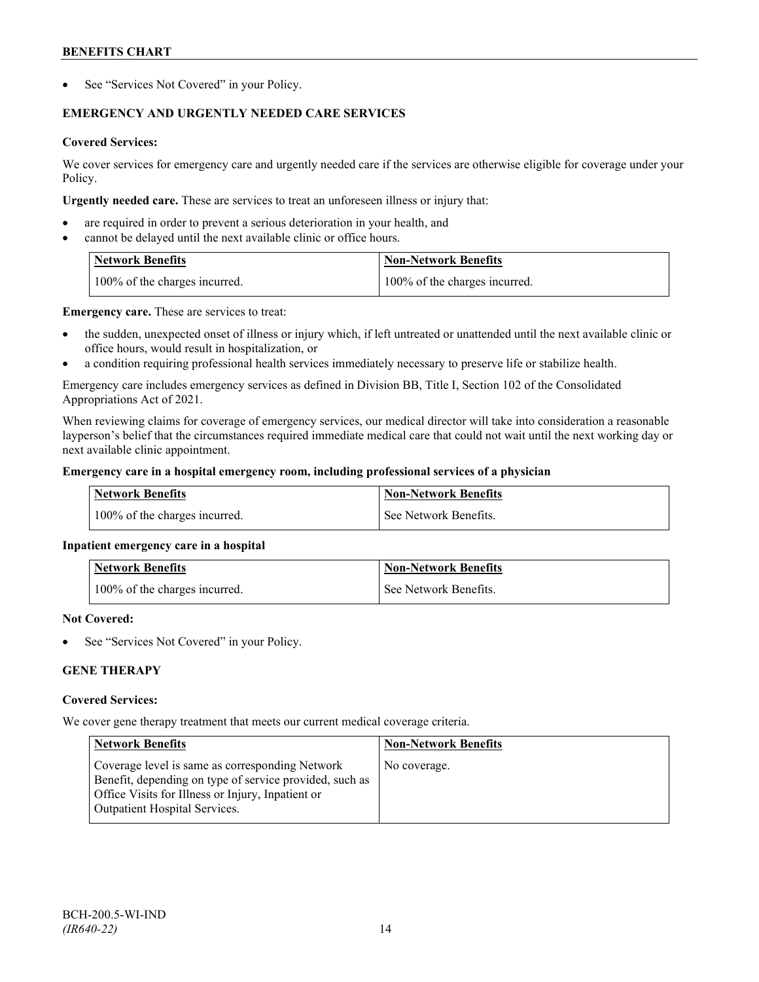See "Services Not Covered" in your Policy.

## **EMERGENCY AND URGENTLY NEEDED CARE SERVICES**

## **Covered Services:**

We cover services for emergency care and urgently needed care if the services are otherwise eligible for coverage under your Policy.

**Urgently needed care.** These are services to treat an unforeseen illness or injury that:

- are required in order to prevent a serious deterioration in your health, and
- cannot be delayed until the next available clinic or office hours.

| <b>Network Benefits</b>       | <b>Non-Network Benefits</b>   |
|-------------------------------|-------------------------------|
| 100% of the charges incurred. | 100% of the charges incurred. |

**Emergency care.** These are services to treat:

- the sudden, unexpected onset of illness or injury which, if left untreated or unattended until the next available clinic or office hours, would result in hospitalization, or
- a condition requiring professional health services immediately necessary to preserve life or stabilize health.

Emergency care includes emergency services as defined in Division BB, Title I, Section 102 of the Consolidated Appropriations Act of 2021.

When reviewing claims for coverage of emergency services, our medical director will take into consideration a reasonable layperson's belief that the circumstances required immediate medical care that could not wait until the next working day or next available clinic appointment.

## **Emergency care in a hospital emergency room, including professional services of a physician**

| Network Benefits              | Non-Network Benefits  |
|-------------------------------|-----------------------|
| 100% of the charges incurred. | See Network Benefits. |

## **Inpatient emergency care in a hospital**

| <b>Network Benefits</b>       | <b>Non-Network Benefits</b> |
|-------------------------------|-----------------------------|
| 100% of the charges incurred. | See Network Benefits.       |

## **Not Covered:**

See "Services Not Covered" in your Policy.

## **GENE THERAPY**

## **Covered Services:**

We cover gene therapy treatment that meets our current medical coverage criteria.

| <b>Network Benefits</b>                                                                                                                                                                                 | <b>Non-Network Benefits</b> |
|---------------------------------------------------------------------------------------------------------------------------------------------------------------------------------------------------------|-----------------------------|
| Coverage level is same as corresponding Network<br>Benefit, depending on type of service provided, such as<br>Office Visits for Illness or Injury, Inpatient or<br><b>Outpatient Hospital Services.</b> | No coverage.                |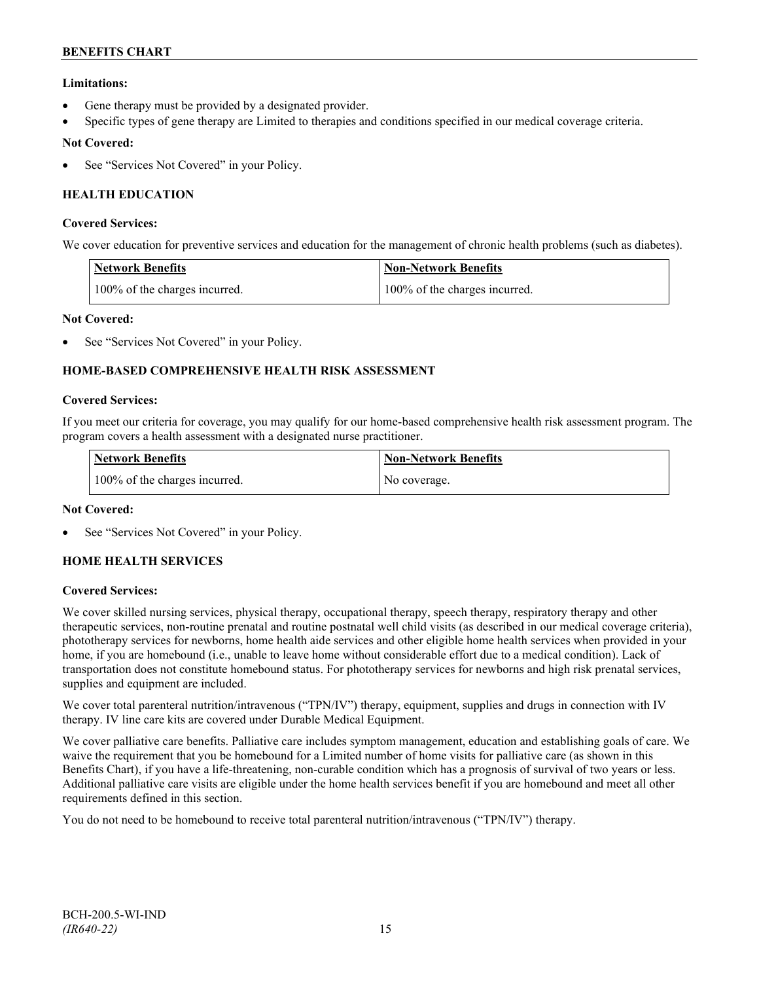## **Limitations:**

- Gene therapy must be provided by a designated provider.
- Specific types of gene therapy are Limited to therapies and conditions specified in our medical coverage criteria.

## **Not Covered:**

See "Services Not Covered" in your Policy.

## **HEALTH EDUCATION**

## **Covered Services:**

We cover education for preventive services and education for the management of chronic health problems (such as diabetes).

| <b>Network Benefits</b>       | <b>Non-Network Benefits</b>   |
|-------------------------------|-------------------------------|
| 100% of the charges incurred. | 100% of the charges incurred. |

## **Not Covered:**

See "Services Not Covered" in your Policy.

## **HOME-BASED COMPREHENSIVE HEALTH RISK ASSESSMENT**

#### **Covered Services:**

If you meet our criteria for coverage, you may qualify for our home-based comprehensive health risk assessment program. The program covers a health assessment with a designated nurse practitioner.

| <b>Network Benefits</b>       | <b>Non-Network Benefits</b> |
|-------------------------------|-----------------------------|
| 100% of the charges incurred. | No coverage.                |

## **Not Covered:**

See "Services Not Covered" in your Policy.

## **HOME HEALTH SERVICES**

## **Covered Services:**

We cover skilled nursing services, physical therapy, occupational therapy, speech therapy, respiratory therapy and other therapeutic services, non-routine prenatal and routine postnatal well child visits (as described in our medical coverage criteria), phototherapy services for newborns, home health aide services and other eligible home health services when provided in your home, if you are homebound (i.e., unable to leave home without considerable effort due to a medical condition). Lack of transportation does not constitute homebound status. For phototherapy services for newborns and high risk prenatal services, supplies and equipment are included.

We cover total parenteral nutrition/intravenous ("TPN/IV") therapy, equipment, supplies and drugs in connection with IV therapy. IV line care kits are covered under Durable Medical Equipment.

We cover palliative care benefits. Palliative care includes symptom management, education and establishing goals of care. We waive the requirement that you be homebound for a Limited number of home visits for palliative care (as shown in this Benefits Chart), if you have a life-threatening, non-curable condition which has a prognosis of survival of two years or less. Additional palliative care visits are eligible under the home health services benefit if you are homebound and meet all other requirements defined in this section.

You do not need to be homebound to receive total parenteral nutrition/intravenous ("TPN/IV") therapy.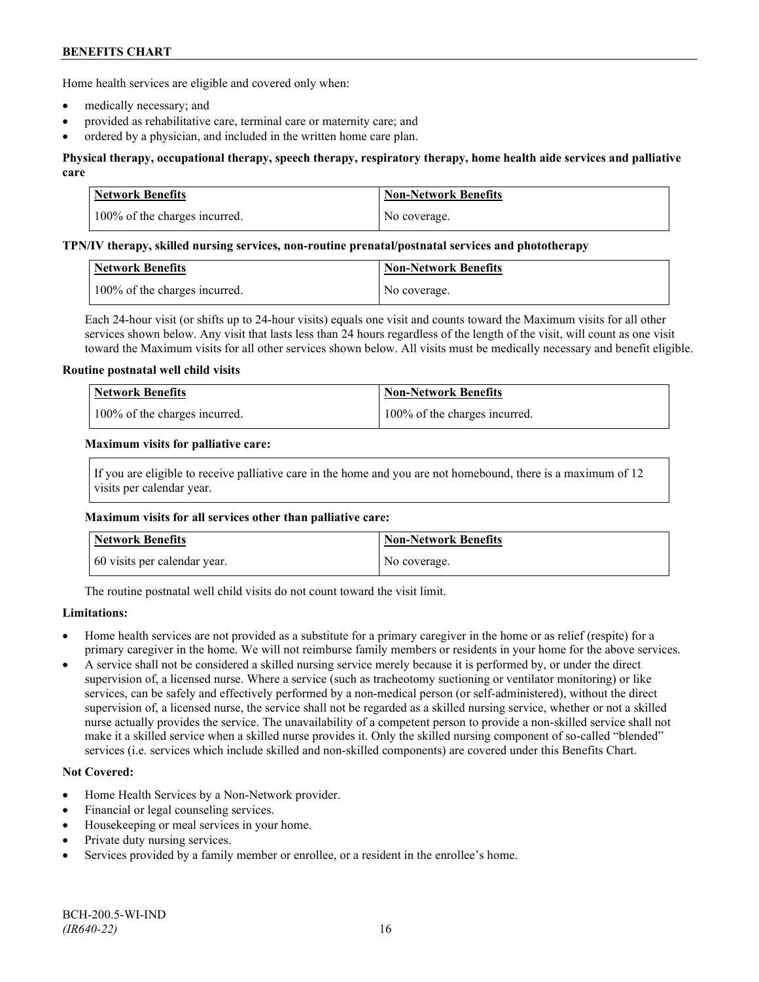Home health services are eligible and covered only when:

- medically necessary; and
- provided as rehabilitative care, terminal care or maternity care; and
- ordered by a physician, and included in the written home care plan.

## **Physical therapy, occupational therapy, speech therapy, respiratory therapy, home health aide services and palliative care**

| Network Benefits              | <b>Non-Network Benefits</b> |
|-------------------------------|-----------------------------|
| 100% of the charges incurred. | No coverage.                |

#### **TPN/IV therapy, skilled nursing services, non-routine prenatal/postnatal services and phototherapy**

| Network Benefits              | Non-Network Benefits |
|-------------------------------|----------------------|
| 100% of the charges incurred. | No coverage.         |

Each 24-hour visit (or shifts up to 24-hour visits) equals one visit and counts toward the Maximum visits for all other services shown below. Any visit that lasts less than 24 hours regardless of the length of the visit, will count as one visit toward the Maximum visits for all other services shown below. All visits must be medically necessary and benefit eligible.

#### **Routine postnatal well child visits**

| <b>Network Benefits</b>       | Non-Network Benefits          |
|-------------------------------|-------------------------------|
| 100% of the charges incurred. | 100% of the charges incurred. |

#### **Maximum visits for palliative care:**

If you are eligible to receive palliative care in the home and you are not homebound, there is a maximum of 12 visits per calendar year.

#### **Maximum visits for all services other than palliative care:**

| Network Benefits             | <b>Non-Network Benefits</b> |
|------------------------------|-----------------------------|
| 60 visits per calendar year. | No coverage.                |

The routine postnatal well child visits do not count toward the visit limit.

## **Limitations:**

- Home health services are not provided as a substitute for a primary caregiver in the home or as relief (respite) for a primary caregiver in the home. We will not reimburse family members or residents in your home for the above services.
- A service shall not be considered a skilled nursing service merely because it is performed by, or under the direct supervision of, a licensed nurse. Where a service (such as tracheotomy suctioning or ventilator monitoring) or like services, can be safely and effectively performed by a non-medical person (or self-administered), without the direct supervision of, a licensed nurse, the service shall not be regarded as a skilled nursing service, whether or not a skilled nurse actually provides the service. The unavailability of a competent person to provide a non-skilled service shall not make it a skilled service when a skilled nurse provides it. Only the skilled nursing component of so-called "blended" services (i.e. services which include skilled and non-skilled components) are covered under this Benefits Chart.

## **Not Covered:**

- Home Health Services by a Non-Network provider.
- Financial or legal counseling services.
- Housekeeping or meal services in your home.
- Private duty nursing services.
- Services provided by a family member or enrollee, or a resident in the enrollee's home.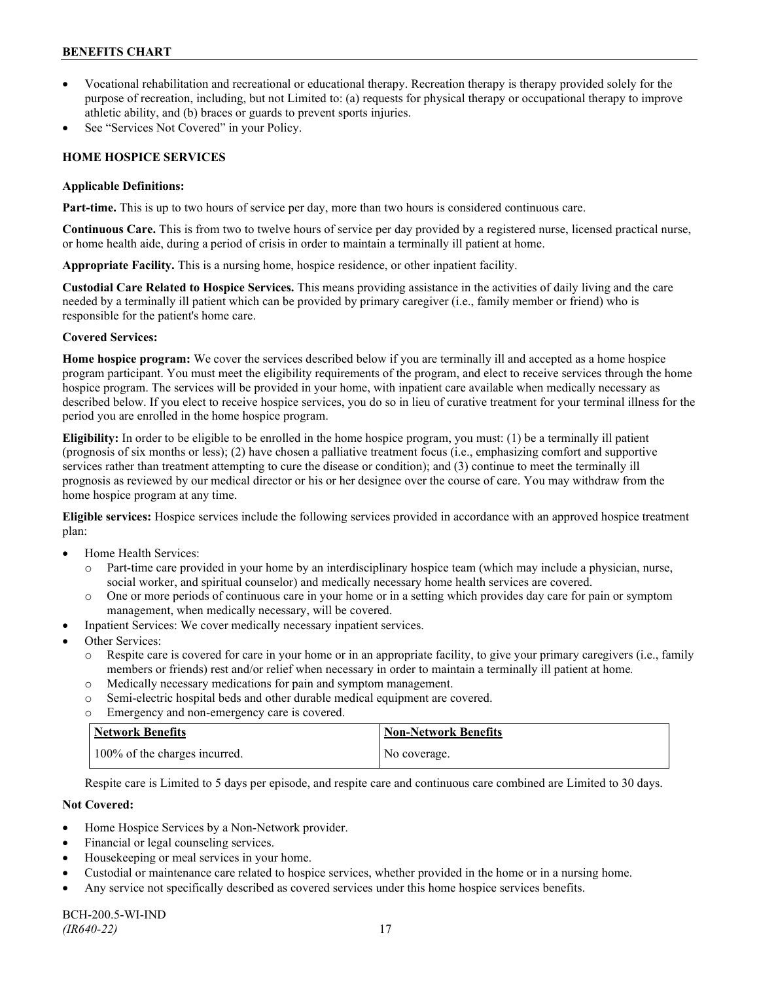- Vocational rehabilitation and recreational or educational therapy. Recreation therapy is therapy provided solely for the purpose of recreation, including, but not Limited to: (a) requests for physical therapy or occupational therapy to improve athletic ability, and (b) braces or guards to prevent sports injuries.
- See "Services Not Covered" in your Policy.

## **HOME HOSPICE SERVICES**

### **Applicable Definitions:**

**Part-time.** This is up to two hours of service per day, more than two hours is considered continuous care.

**Continuous Care.** This is from two to twelve hours of service per day provided by a registered nurse, licensed practical nurse, or home health aide, during a period of crisis in order to maintain a terminally ill patient at home.

**Appropriate Facility.** This is a nursing home, hospice residence, or other inpatient facility.

**Custodial Care Related to Hospice Services.** This means providing assistance in the activities of daily living and the care needed by a terminally ill patient which can be provided by primary caregiver (i.e., family member or friend) who is responsible for the patient's home care.

## **Covered Services:**

**Home hospice program:** We cover the services described below if you are terminally ill and accepted as a home hospice program participant. You must meet the eligibility requirements of the program, and elect to receive services through the home hospice program. The services will be provided in your home, with inpatient care available when medically necessary as described below. If you elect to receive hospice services, you do so in lieu of curative treatment for your terminal illness for the period you are enrolled in the home hospice program.

**Eligibility:** In order to be eligible to be enrolled in the home hospice program, you must: (1) be a terminally ill patient (prognosis of six months or less); (2) have chosen a palliative treatment focus (i.e., emphasizing comfort and supportive services rather than treatment attempting to cure the disease or condition); and (3) continue to meet the terminally ill prognosis as reviewed by our medical director or his or her designee over the course of care. You may withdraw from the home hospice program at any time.

**Eligible services:** Hospice services include the following services provided in accordance with an approved hospice treatment plan:

- Home Health Services:
	- o Part-time care provided in your home by an interdisciplinary hospice team (which may include a physician, nurse, social worker, and spiritual counselor) and medically necessary home health services are covered.
	- o One or more periods of continuous care in your home or in a setting which provides day care for pain or symptom management, when medically necessary, will be covered.
- Inpatient Services: We cover medically necessary inpatient services.
- Other Services:
	- o Respite care is covered for care in your home or in an appropriate facility, to give your primary caregivers (i.e., family members or friends) rest and/or relief when necessary in order to maintain a terminally ill patient at home*.*
	- o Medically necessary medications for pain and symptom management.
	- o Semi-electric hospital beds and other durable medical equipment are covered.
	- o Emergency and non-emergency care is covered.

| Network Benefits              | <b>Non-Network Benefits</b> |
|-------------------------------|-----------------------------|
| 100% of the charges incurred. | No coverage.                |

Respite care is Limited to 5 days per episode, and respite care and continuous care combined are Limited to 30 days.

## **Not Covered:**

- Home Hospice Services by a Non-Network provider.
- Financial or legal counseling services.
- Housekeeping or meal services in your home.
- Custodial or maintenance care related to hospice services, whether provided in the home or in a nursing home.
- Any service not specifically described as covered services under this home hospice services benefits.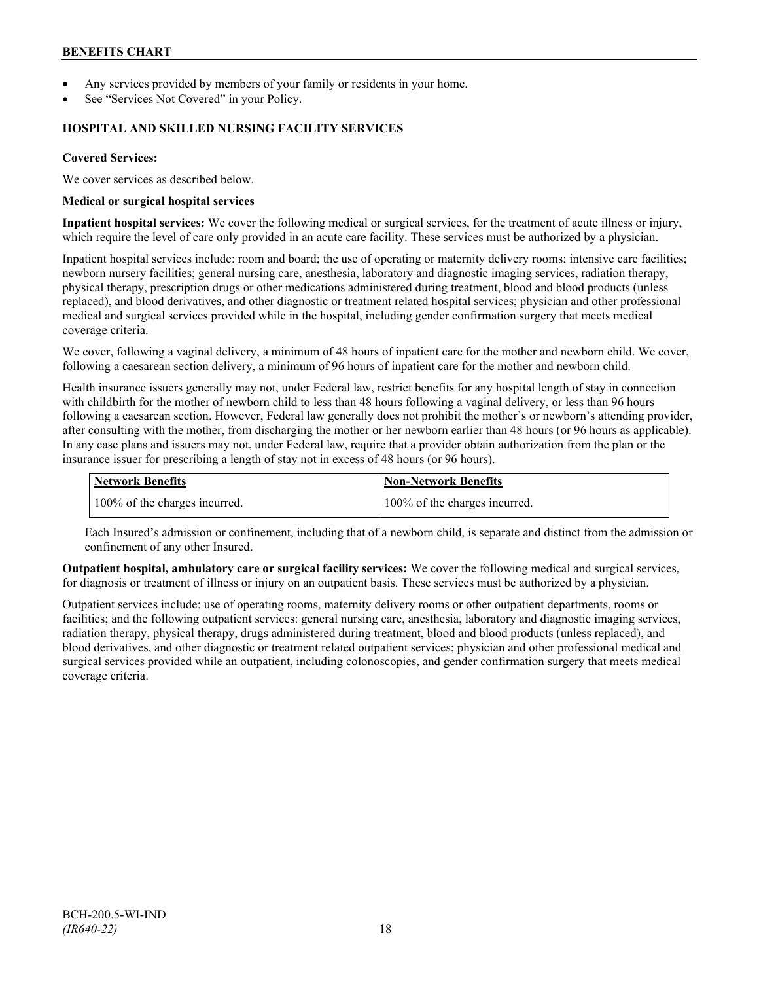- Any services provided by members of your family or residents in your home.
- See "Services Not Covered" in your Policy.

### **HOSPITAL AND SKILLED NURSING FACILITY SERVICES**

### **Covered Services:**

We cover services as described below.

#### **Medical or surgical hospital services**

**Inpatient hospital services:** We cover the following medical or surgical services, for the treatment of acute illness or injury, which require the level of care only provided in an acute care facility. These services must be authorized by a physician.

Inpatient hospital services include: room and board; the use of operating or maternity delivery rooms; intensive care facilities; newborn nursery facilities; general nursing care, anesthesia, laboratory and diagnostic imaging services, radiation therapy, physical therapy, prescription drugs or other medications administered during treatment, blood and blood products (unless replaced), and blood derivatives, and other diagnostic or treatment related hospital services; physician and other professional medical and surgical services provided while in the hospital, including gender confirmation surgery that meets medical coverage criteria.

We cover, following a vaginal delivery, a minimum of 48 hours of inpatient care for the mother and newborn child. We cover, following a caesarean section delivery, a minimum of 96 hours of inpatient care for the mother and newborn child.

Health insurance issuers generally may not, under Federal law, restrict benefits for any hospital length of stay in connection with childbirth for the mother of newborn child to less than 48 hours following a vaginal delivery, or less than 96 hours following a caesarean section. However, Federal law generally does not prohibit the mother's or newborn's attending provider, after consulting with the mother, from discharging the mother or her newborn earlier than 48 hours (or 96 hours as applicable). In any case plans and issuers may not, under Federal law, require that a provider obtain authorization from the plan or the insurance issuer for prescribing a length of stay not in excess of 48 hours (or 96 hours).

| Network Benefits              | Non-Network Benefits          |
|-------------------------------|-------------------------------|
| 100% of the charges incurred. | 100% of the charges incurred. |

Each Insured's admission or confinement, including that of a newborn child, is separate and distinct from the admission or confinement of any other Insured.

**Outpatient hospital, ambulatory care or surgical facility services:** We cover the following medical and surgical services, for diagnosis or treatment of illness or injury on an outpatient basis. These services must be authorized by a physician.

Outpatient services include: use of operating rooms, maternity delivery rooms or other outpatient departments, rooms or facilities; and the following outpatient services: general nursing care, anesthesia, laboratory and diagnostic imaging services, radiation therapy, physical therapy, drugs administered during treatment, blood and blood products (unless replaced), and blood derivatives, and other diagnostic or treatment related outpatient services; physician and other professional medical and surgical services provided while an outpatient, including colonoscopies, and gender confirmation surgery that meets medical coverage criteria.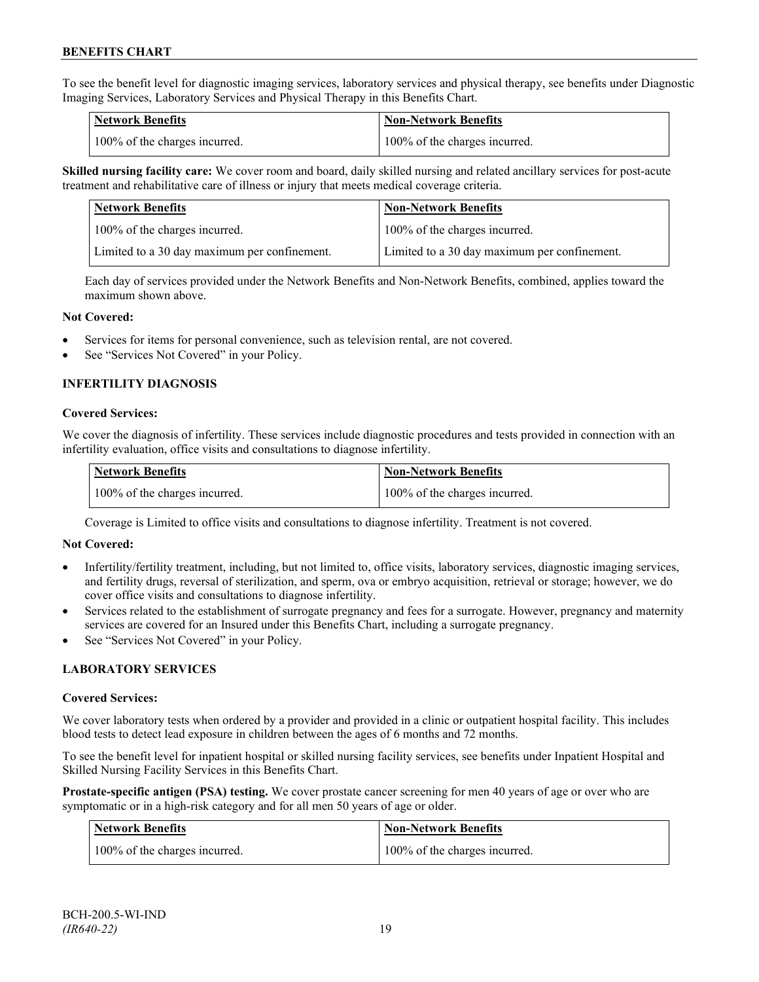To see the benefit level for diagnostic imaging services, laboratory services and physical therapy, see benefits under Diagnostic Imaging Services, Laboratory Services and Physical Therapy in this Benefits Chart.

| <b>Network Benefits</b>       | <b>Non-Network Benefits</b>   |
|-------------------------------|-------------------------------|
| 100% of the charges incurred. | 100% of the charges incurred. |

**Skilled nursing facility care:** We cover room and board, daily skilled nursing and related ancillary services for post-acute treatment and rehabilitative care of illness or injury that meets medical coverage criteria.

| Network Benefits                             | <b>Non-Network Benefits</b>                  |
|----------------------------------------------|----------------------------------------------|
| 100% of the charges incurred.                | 100% of the charges incurred.                |
| Limited to a 30 day maximum per confinement. | Limited to a 30 day maximum per confinement. |

Each day of services provided under the Network Benefits and Non-Network Benefits, combined, applies toward the maximum shown above.

#### **Not Covered:**

- Services for items for personal convenience, such as television rental, are not covered.
- See "Services Not Covered" in your Policy.

## **INFERTILITY DIAGNOSIS**

#### **Covered Services:**

We cover the diagnosis of infertility. These services include diagnostic procedures and tests provided in connection with an infertility evaluation, office visits and consultations to diagnose infertility.

| <b>Network Benefits</b>       | <b>Non-Network Benefits</b>   |
|-------------------------------|-------------------------------|
| 100% of the charges incurred. | 100% of the charges incurred. |

Coverage is Limited to office visits and consultations to diagnose infertility. Treatment is not covered.

#### **Not Covered:**

- Infertility/fertility treatment, including, but not limited to, office visits, laboratory services, diagnostic imaging services, and fertility drugs, reversal of sterilization, and sperm, ova or embryo acquisition, retrieval or storage; however, we do cover office visits and consultations to diagnose infertility.
- Services related to the establishment of surrogate pregnancy and fees for a surrogate. However, pregnancy and maternity services are covered for an Insured under this Benefits Chart, including a surrogate pregnancy.
- See "Services Not Covered" in your Policy.

## **LABORATORY SERVICES**

#### **Covered Services:**

We cover laboratory tests when ordered by a provider and provided in a clinic or outpatient hospital facility. This includes blood tests to detect lead exposure in children between the ages of 6 months and 72 months.

To see the benefit level for inpatient hospital or skilled nursing facility services, see benefits under Inpatient Hospital and Skilled Nursing Facility Services in this Benefits Chart.

**Prostate-specific antigen (PSA) testing.** We cover prostate cancer screening for men 40 years of age or over who are symptomatic or in a high-risk category and for all men 50 years of age or older.

| <b>Network Benefits</b>       | <b>Non-Network Benefits</b>   |
|-------------------------------|-------------------------------|
| 100% of the charges incurred. | 100% of the charges incurred. |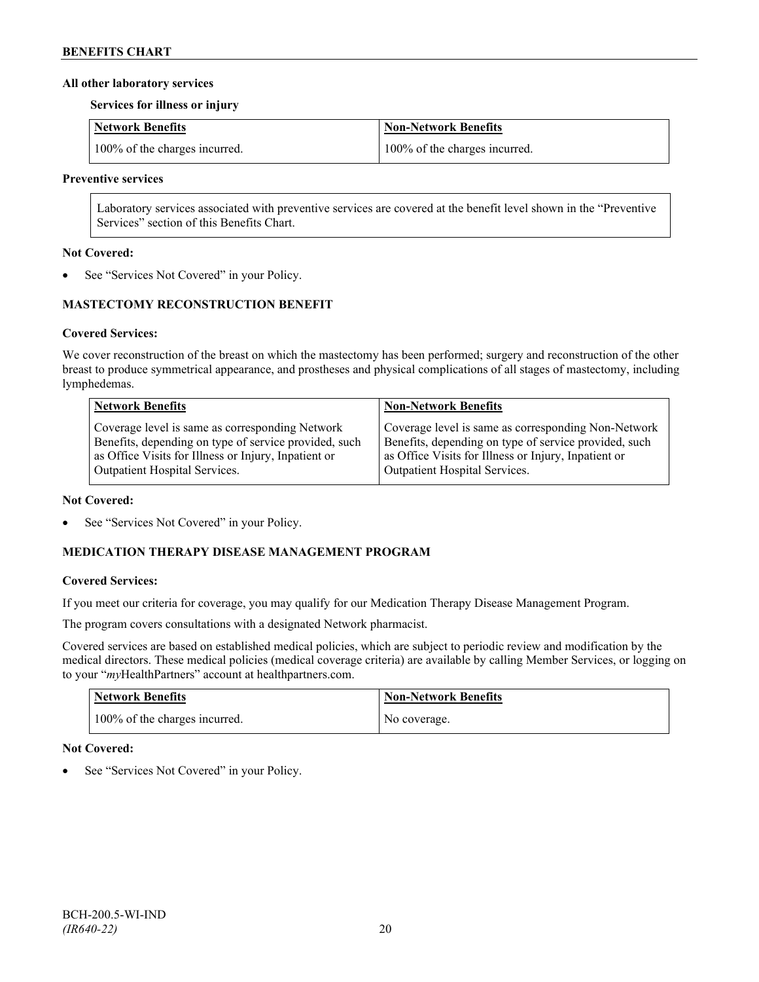### **All other laboratory services**

**Services for illness or injury**

| Network Benefits              | Non-Network Benefits          |
|-------------------------------|-------------------------------|
| 100% of the charges incurred. | 100% of the charges incurred. |

#### **Preventive services**

Laboratory services associated with preventive services are covered at the benefit level shown in the "Preventive Services" section of this Benefits Chart.

### **Not Covered:**

See "Services Not Covered" in your Policy.

## **MASTECTOMY RECONSTRUCTION BENEFIT**

## **Covered Services:**

We cover reconstruction of the breast on which the mastectomy has been performed; surgery and reconstruction of the other breast to produce symmetrical appearance, and prostheses and physical complications of all stages of mastectomy, including lymphedemas.

| <b>Network Benefits</b>                               | <b>Non-Network Benefits</b>                           |
|-------------------------------------------------------|-------------------------------------------------------|
| Coverage level is same as corresponding Network       | Coverage level is same as corresponding Non-Network   |
| Benefits, depending on type of service provided, such | Benefits, depending on type of service provided, such |
| as Office Visits for Illness or Injury, Inpatient or  | as Office Visits for Illness or Injury, Inpatient or  |
| Outpatient Hospital Services.                         | Outpatient Hospital Services.                         |

#### **Not Covered:**

See "Services Not Covered" in your Policy.

## **MEDICATION THERAPY DISEASE MANAGEMENT PROGRAM**

## **Covered Services:**

If you meet our criteria for coverage, you may qualify for our Medication Therapy Disease Management Program.

The program covers consultations with a designated Network pharmacist.

Covered services are based on established medical policies, which are subject to periodic review and modification by the medical directors. These medical policies (medical coverage criteria) are available by calling Member Services, or logging on to your "*my*HealthPartners" account at [healthpartners.com.](http://www.healthpartners.com/)

| <b>Network Benefits</b>       | <b>Non-Network Benefits</b> |
|-------------------------------|-----------------------------|
| 100% of the charges incurred. | No coverage.                |

## **Not Covered:**

See "Services Not Covered" in your Policy.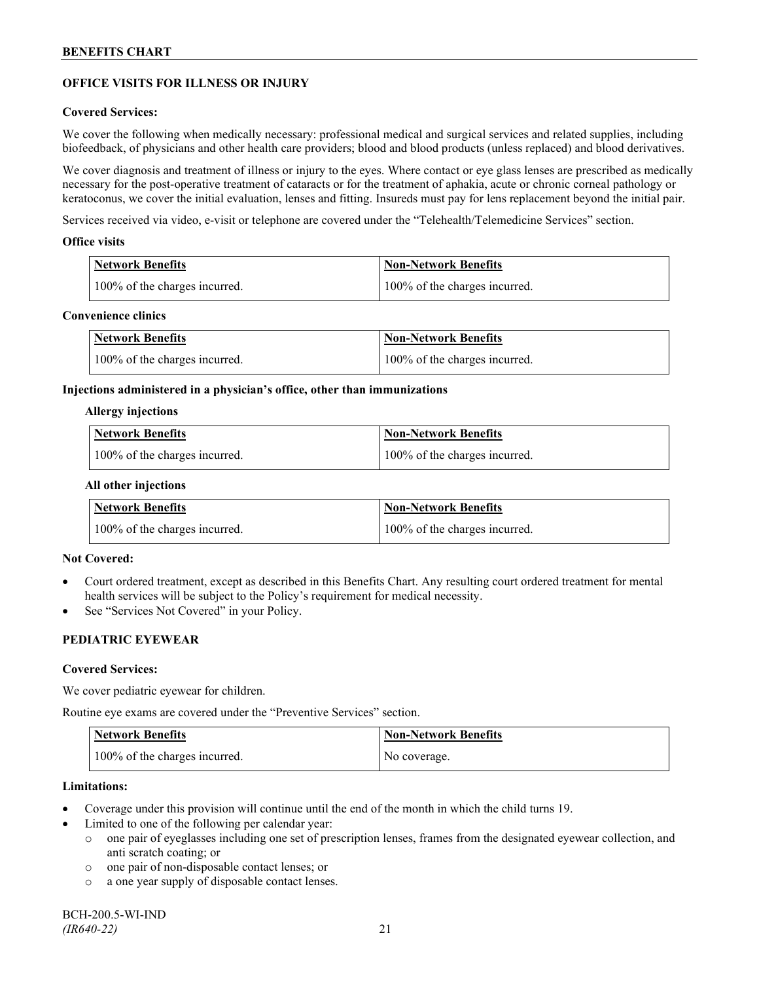## **OFFICE VISITS FOR ILLNESS OR INJURY**

#### **Covered Services:**

We cover the following when medically necessary: professional medical and surgical services and related supplies, including biofeedback, of physicians and other health care providers; blood and blood products (unless replaced) and blood derivatives.

We cover diagnosis and treatment of illness or injury to the eyes. Where contact or eye glass lenses are prescribed as medically necessary for the post-operative treatment of cataracts or for the treatment of aphakia, acute or chronic corneal pathology or keratoconus, we cover the initial evaluation, lenses and fitting. Insureds must pay for lens replacement beyond the initial pair.

Services received via video, e-visit or telephone are covered under the "Telehealth/Telemedicine Services" section.

#### **Office visits**

| <b>Network Benefits</b>       | <b>Non-Network Benefits</b>   |
|-------------------------------|-------------------------------|
| 100% of the charges incurred. | 100% of the charges incurred. |

### **Convenience clinics**

| <b>Network Benefits</b>       | <b>Non-Network Benefits</b>   |
|-------------------------------|-------------------------------|
| 100% of the charges incurred. | 100% of the charges incurred. |

#### **Injections administered in a physician's office, other than immunizations**

#### **Allergy injections**

| <b>Network Benefits</b>       | Non-Network Benefits          |
|-------------------------------|-------------------------------|
| 100% of the charges incurred. | 100% of the charges incurred. |

#### **All other injections**

| <b>Network Benefits</b>       | <b>Non-Network Benefits</b>   |
|-------------------------------|-------------------------------|
| 100% of the charges incurred. | 100% of the charges incurred. |

## **Not Covered:**

- Court ordered treatment, except as described in this Benefits Chart. Any resulting court ordered treatment for mental health services will be subject to the Policy's requirement for medical necessity.
- See "Services Not Covered" in your Policy.

## **PEDIATRIC EYEWEAR**

#### **Covered Services:**

We cover pediatric eyewear for children.

Routine eye exams are covered under the "Preventive Services" section.

| <b>Network Benefits</b>       | <b>Non-Network Benefits</b> |
|-------------------------------|-----------------------------|
| 100% of the charges incurred. | No coverage.                |

#### **Limitations:**

- Coverage under this provision will continue until the end of the month in which the child turns 19.
- Limited to one of the following per calendar year:
	- o one pair of eyeglasses including one set of prescription lenses, frames from the designated eyewear collection, and anti scratch coating; or
	- o one pair of non-disposable contact lenses; or
	- o a one year supply of disposable contact lenses.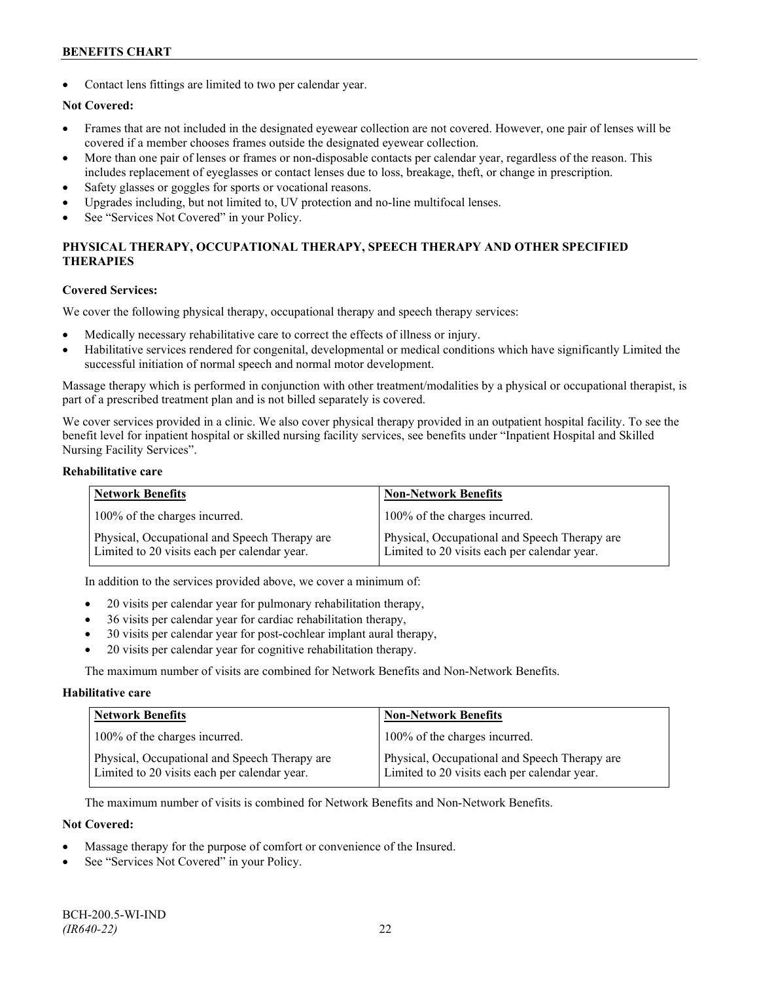Contact lens fittings are limited to two per calendar year.

## **Not Covered:**

- Frames that are not included in the designated eyewear collection are not covered. However, one pair of lenses will be covered if a member chooses frames outside the designated eyewear collection.
- More than one pair of lenses or frames or non-disposable contacts per calendar year, regardless of the reason. This includes replacement of eyeglasses or contact lenses due to loss, breakage, theft, or change in prescription.
- Safety glasses or goggles for sports or vocational reasons.
- Upgrades including, but not limited to, UV protection and no-line multifocal lenses.
- See "Services Not Covered" in your Policy.

## **PHYSICAL THERAPY, OCCUPATIONAL THERAPY, SPEECH THERAPY AND OTHER SPECIFIED THERAPIES**

#### **Covered Services:**

We cover the following physical therapy, occupational therapy and speech therapy services:

- Medically necessary rehabilitative care to correct the effects of illness or injury.
- Habilitative services rendered for congenital, developmental or medical conditions which have significantly Limited the successful initiation of normal speech and normal motor development.

Massage therapy which is performed in conjunction with other treatment/modalities by a physical or occupational therapist, is part of a prescribed treatment plan and is not billed separately is covered.

We cover services provided in a clinic. We also cover physical therapy provided in an outpatient hospital facility. To see the benefit level for inpatient hospital or skilled nursing facility services, see benefits under "Inpatient Hospital and Skilled Nursing Facility Services".

### **Rehabilitative care**

| <b>Network Benefits</b>                                                                       | <b>Non-Network Benefits</b>                                                                   |
|-----------------------------------------------------------------------------------------------|-----------------------------------------------------------------------------------------------|
| 100% of the charges incurred.                                                                 | 100% of the charges incurred.                                                                 |
| Physical, Occupational and Speech Therapy are<br>Limited to 20 visits each per calendar year. | Physical, Occupational and Speech Therapy are<br>Limited to 20 visits each per calendar year. |

In addition to the services provided above, we cover a minimum of:

- 20 visits per calendar year for pulmonary rehabilitation therapy,
- 36 visits per calendar year for cardiac rehabilitation therapy,
- 30 visits per calendar year for post-cochlear implant aural therapy,
- 20 visits per calendar year for cognitive rehabilitation therapy.

The maximum number of visits are combined for Network Benefits and Non-Network Benefits.

#### **Habilitative care**

| <b>Network Benefits</b>                                                                       | <b>Non-Network Benefits</b>                                                                   |
|-----------------------------------------------------------------------------------------------|-----------------------------------------------------------------------------------------------|
| 100% of the charges incurred.                                                                 | 100% of the charges incurred.                                                                 |
| Physical, Occupational and Speech Therapy are<br>Limited to 20 visits each per calendar year. | Physical, Occupational and Speech Therapy are<br>Limited to 20 visits each per calendar year. |

The maximum number of visits is combined for Network Benefits and Non-Network Benefits.

## **Not Covered:**

- Massage therapy for the purpose of comfort or convenience of the Insured.
- See "Services Not Covered" in your Policy.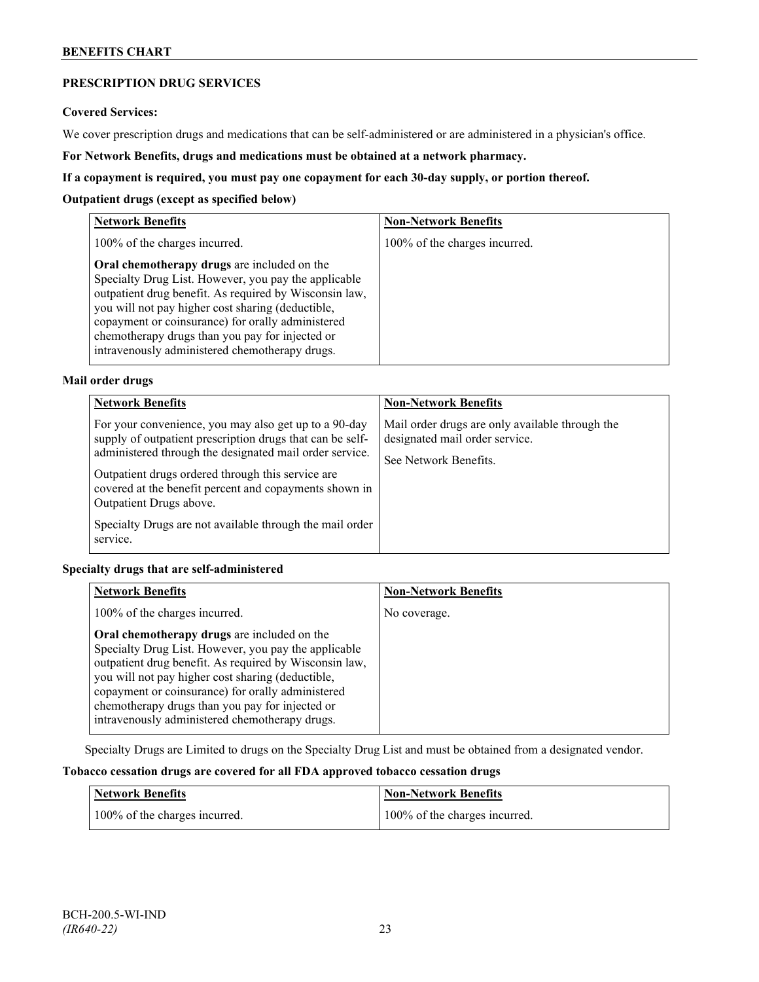## **PRESCRIPTION DRUG SERVICES**

#### **Covered Services:**

We cover prescription drugs and medications that can be self-administered or are administered in a physician's office.

**For Network Benefits, drugs and medications must be obtained at a network pharmacy.**

### **If a copayment is required, you must pay one copayment for each 30-day supply, or portion thereof.**

### **Outpatient drugs (except as specified below)**

| <b>Network Benefits</b>                                                                                                                                                                                                                                                                                                                                                      | <b>Non-Network Benefits</b>   |
|------------------------------------------------------------------------------------------------------------------------------------------------------------------------------------------------------------------------------------------------------------------------------------------------------------------------------------------------------------------------------|-------------------------------|
| 100% of the charges incurred.                                                                                                                                                                                                                                                                                                                                                | 100% of the charges incurred. |
| Oral chemotherapy drugs are included on the<br>Specialty Drug List. However, you pay the applicable<br>outpatient drug benefit. As required by Wisconsin law,<br>you will not pay higher cost sharing (deductible,<br>copayment or coinsurance) for orally administered<br>chemotherapy drugs than you pay for injected or<br>intravenously administered chemotherapy drugs. |                               |

## **Mail order drugs**

| <b>Network Benefits</b>                                                                                                                                                                                                                                                                                                                                                                         | <b>Non-Network Benefits</b>                                                                                |
|-------------------------------------------------------------------------------------------------------------------------------------------------------------------------------------------------------------------------------------------------------------------------------------------------------------------------------------------------------------------------------------------------|------------------------------------------------------------------------------------------------------------|
| For your convenience, you may also get up to a 90-day<br>supply of outpatient prescription drugs that can be self-<br>administered through the designated mail order service.<br>Outpatient drugs ordered through this service are<br>covered at the benefit percent and copayments shown in<br>Outpatient Drugs above.<br>Specialty Drugs are not available through the mail order<br>service. | Mail order drugs are only available through the<br>designated mail order service.<br>See Network Benefits. |

## **Specialty drugs that are self-administered**

| <b>Network Benefits</b>                                                                                                                                                                                                                                                                                                                                                      | <b>Non-Network Benefits</b> |
|------------------------------------------------------------------------------------------------------------------------------------------------------------------------------------------------------------------------------------------------------------------------------------------------------------------------------------------------------------------------------|-----------------------------|
| 100% of the charges incurred.                                                                                                                                                                                                                                                                                                                                                | No coverage.                |
| Oral chemotherapy drugs are included on the<br>Specialty Drug List. However, you pay the applicable<br>outpatient drug benefit. As required by Wisconsin law,<br>you will not pay higher cost sharing (deductible,<br>copayment or coinsurance) for orally administered<br>chemotherapy drugs than you pay for injected or<br>intravenously administered chemotherapy drugs. |                             |

Specialty Drugs are Limited to drugs on the Specialty Drug List and must be obtained from a designated vendor.

## **Tobacco cessation drugs are covered for all FDA approved tobacco cessation drugs**

| Network Benefits              | <b>Non-Network Benefits</b>   |
|-------------------------------|-------------------------------|
| 100% of the charges incurred. | 100% of the charges incurred. |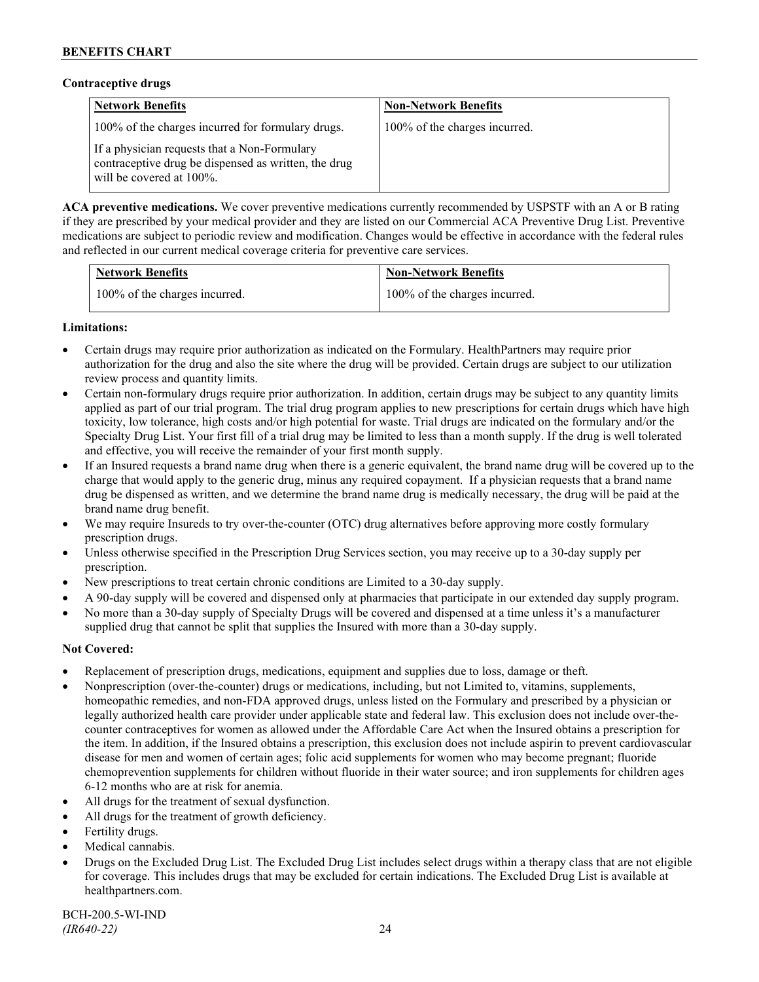### **Contraceptive drugs**

| <b>Network Benefits</b>                                                                                                              | <b>Non-Network Benefits</b>   |
|--------------------------------------------------------------------------------------------------------------------------------------|-------------------------------|
| 100% of the charges incurred for formulary drugs.                                                                                    | 100% of the charges incurred. |
| If a physician requests that a Non-Formulary<br>contraceptive drug be dispensed as written, the drug<br>will be covered at $100\%$ . |                               |

**ACA preventive medications.** We cover preventive medications currently recommended by USPSTF with an A or B rating if they are prescribed by your medical provider and they are listed on our Commercial ACA Preventive Drug List. Preventive medications are subject to periodic review and modification. Changes would be effective in accordance with the federal rules and reflected in our current medical coverage criteria for preventive care services.

| <b>Network Benefits</b>       | <b>Non-Network Benefits</b>   |
|-------------------------------|-------------------------------|
| 100% of the charges incurred. | 100% of the charges incurred. |

## **Limitations:**

- Certain drugs may require prior authorization as indicated on the Formulary. HealthPartners may require prior authorization for the drug and also the site where the drug will be provided. Certain drugs are subject to our utilization review process and quantity limits.
- Certain non-formulary drugs require prior authorization. In addition, certain drugs may be subject to any quantity limits applied as part of our trial program. The trial drug program applies to new prescriptions for certain drugs which have high toxicity, low tolerance, high costs and/or high potential for waste. Trial drugs are indicated on the formulary and/or the Specialty Drug List. Your first fill of a trial drug may be limited to less than a month supply. If the drug is well tolerated and effective, you will receive the remainder of your first month supply.
- If an Insured requests a brand name drug when there is a generic equivalent, the brand name drug will be covered up to the charge that would apply to the generic drug, minus any required copayment. If a physician requests that a brand name drug be dispensed as written, and we determine the brand name drug is medically necessary, the drug will be paid at the brand name drug benefit.
- We may require Insureds to try over-the-counter (OTC) drug alternatives before approving more costly formulary prescription drugs.
- Unless otherwise specified in the Prescription Drug Services section, you may receive up to a 30-day supply per prescription.
- New prescriptions to treat certain chronic conditions are Limited to a 30-day supply.
- A 90-day supply will be covered and dispensed only at pharmacies that participate in our extended day supply program.
- No more than a 30-day supply of Specialty Drugs will be covered and dispensed at a time unless it's a manufacturer supplied drug that cannot be split that supplies the Insured with more than a 30-day supply.

## **Not Covered:**

- Replacement of prescription drugs, medications, equipment and supplies due to loss, damage or theft.
- Nonprescription (over-the-counter) drugs or medications, including, but not Limited to, vitamins, supplements, homeopathic remedies, and non-FDA approved drugs, unless listed on the Formulary and prescribed by a physician or legally authorized health care provider under applicable state and federal law. This exclusion does not include over-thecounter contraceptives for women as allowed under the Affordable Care Act when the Insured obtains a prescription for the item. In addition, if the Insured obtains a prescription, this exclusion does not include aspirin to prevent cardiovascular disease for men and women of certain ages; folic acid supplements for women who may become pregnant; fluoride chemoprevention supplements for children without fluoride in their water source; and iron supplements for children ages 6-12 months who are at risk for anemia.
- All drugs for the treatment of sexual dysfunction.
- All drugs for the treatment of growth deficiency.
- Fertility drugs.
- Medical cannabis.
- Drugs on the Excluded Drug List. The Excluded Drug List includes select drugs within a therapy class that are not eligible for coverage. This includes drugs that may be excluded for certain indications. The Excluded Drug List is available at [healthpartners.com.](http://www.healthpartners.com/)

BCH-200.5-WI-IND *(IR640-22)* 24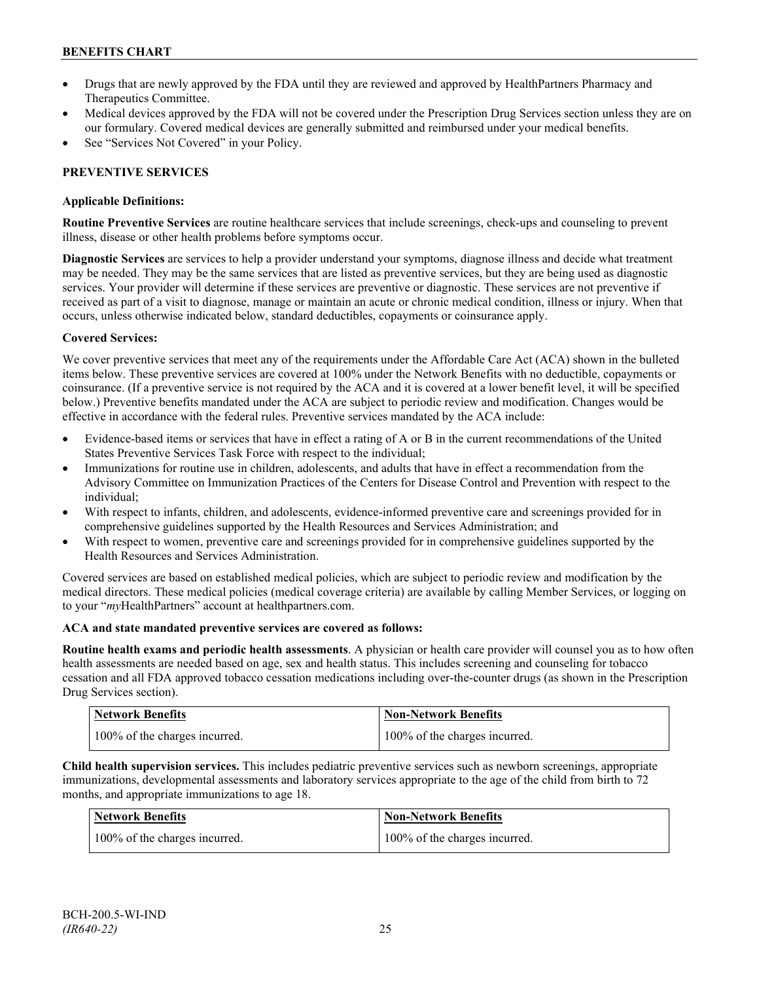- Drugs that are newly approved by the FDA until they are reviewed and approved by HealthPartners Pharmacy and Therapeutics Committee.
- Medical devices approved by the FDA will not be covered under the Prescription Drug Services section unless they are on our formulary. Covered medical devices are generally submitted and reimbursed under your medical benefits.
- See "Services Not Covered" in your Policy.

## **PREVENTIVE SERVICES**

### **Applicable Definitions:**

**Routine Preventive Services** are routine healthcare services that include screenings, check-ups and counseling to prevent illness, disease or other health problems before symptoms occur.

**Diagnostic Services** are services to help a provider understand your symptoms, diagnose illness and decide what treatment may be needed. They may be the same services that are listed as preventive services, but they are being used as diagnostic services. Your provider will determine if these services are preventive or diagnostic. These services are not preventive if received as part of a visit to diagnose, manage or maintain an acute or chronic medical condition, illness or injury. When that occurs, unless otherwise indicated below, standard deductibles, copayments or coinsurance apply.

## **Covered Services:**

We cover preventive services that meet any of the requirements under the Affordable Care Act (ACA) shown in the bulleted items below. These preventive services are covered at 100% under the Network Benefits with no deductible, copayments or coinsurance. (If a preventive service is not required by the ACA and it is covered at a lower benefit level, it will be specified below.) Preventive benefits mandated under the ACA are subject to periodic review and modification. Changes would be effective in accordance with the federal rules. Preventive services mandated by the ACA include:

- Evidence-based items or services that have in effect a rating of A or B in the current recommendations of the United States Preventive Services Task Force with respect to the individual;
- Immunizations for routine use in children, adolescents, and adults that have in effect a recommendation from the Advisory Committee on Immunization Practices of the Centers for Disease Control and Prevention with respect to the individual;
- With respect to infants, children, and adolescents, evidence-informed preventive care and screenings provided for in comprehensive guidelines supported by the Health Resources and Services Administration; and
- With respect to women, preventive care and screenings provided for in comprehensive guidelines supported by the Health Resources and Services Administration.

Covered services are based on established medical policies, which are subject to periodic review and modification by the medical directors. These medical policies (medical coverage criteria) are available by calling Member Services, or logging on to your "*my*HealthPartners" account at [healthpartners.com.](http://www.healthpartners.com/)

## **ACA and state mandated preventive services are covered as follows:**

**Routine health exams and periodic health assessments**. A physician or health care provider will counsel you as to how often health assessments are needed based on age, sex and health status. This includes screening and counseling for tobacco cessation and all FDA approved tobacco cessation medications including over-the-counter drugs (as shown in the Prescription Drug Services section).

| <b>Network Benefits</b>       | <b>Non-Network Benefits</b>   |
|-------------------------------|-------------------------------|
| 100% of the charges incurred. | 100% of the charges incurred. |

**Child health supervision services.** This includes pediatric preventive services such as newborn screenings, appropriate immunizations, developmental assessments and laboratory services appropriate to the age of the child from birth to 72 months, and appropriate immunizations to age 18.

| <b>Network Benefits</b>       | <b>Non-Network Benefits</b>   |
|-------------------------------|-------------------------------|
| 100% of the charges incurred. | 100% of the charges incurred. |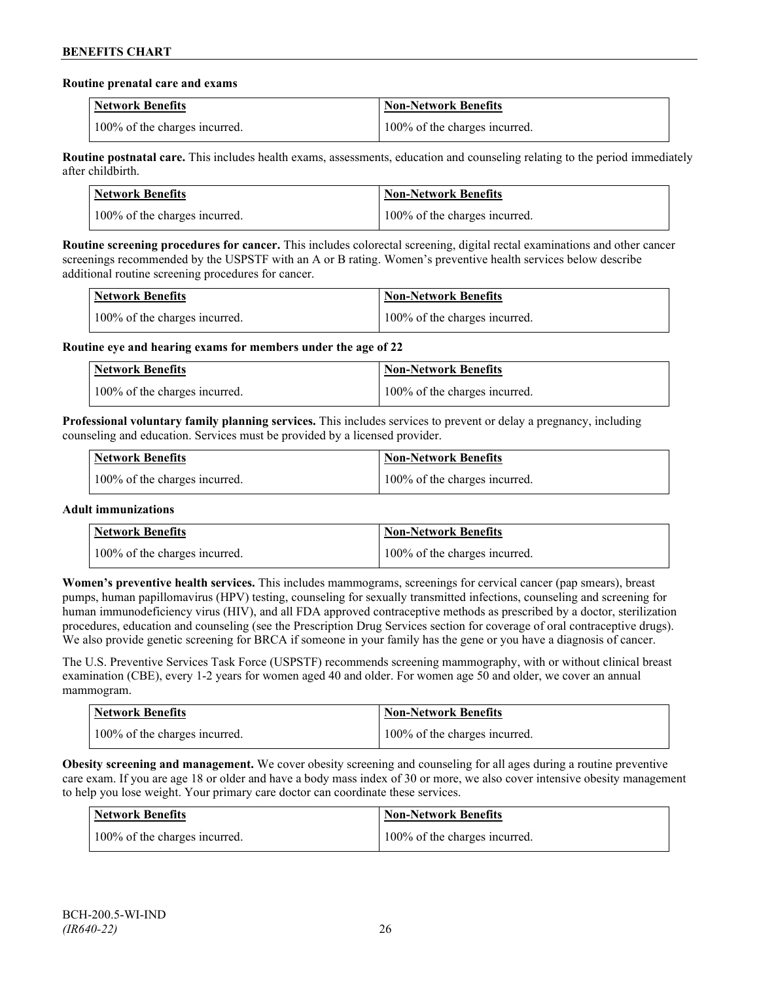#### **Routine prenatal care and exams**

| <b>Network Benefits</b>       | <b>Non-Network Benefits</b>   |
|-------------------------------|-------------------------------|
| 100% of the charges incurred. | 100% of the charges incurred. |

**Routine postnatal care.** This includes health exams, assessments, education and counseling relating to the period immediately after childbirth.

| <b>Network Benefits</b>       | <b>Non-Network Benefits</b>   |
|-------------------------------|-------------------------------|
| 100% of the charges incurred. | 100% of the charges incurred. |

**Routine screening procedures for cancer.** This includes colorectal screening, digital rectal examinations and other cancer screenings recommended by the USPSTF with an A or B rating. Women's preventive health services below describe additional routine screening procedures for cancer.

| Network Benefits              | <b>Non-Network Benefits</b>   |
|-------------------------------|-------------------------------|
| 100% of the charges incurred. | 100% of the charges incurred. |

**Routine eye and hearing exams for members under the age of 22**

| <b>Network Benefits</b>       | <b>Non-Network Benefits</b>   |
|-------------------------------|-------------------------------|
| 100% of the charges incurred. | 100% of the charges incurred. |

**Professional voluntary family planning services.** This includes services to prevent or delay a pregnancy, including counseling and education. Services must be provided by a licensed provider.

| Network Benefits              | <b>Non-Network Benefits</b>   |
|-------------------------------|-------------------------------|
| 100% of the charges incurred. | 100% of the charges incurred. |

## **Adult immunizations**

| <b>Network Benefits</b>       | <b>Non-Network Benefits</b>   |
|-------------------------------|-------------------------------|
| 100% of the charges incurred. | 100% of the charges incurred. |

**Women's preventive health services.** This includes mammograms, screenings for cervical cancer (pap smears), breast pumps, human papillomavirus (HPV) testing, counseling for sexually transmitted infections, counseling and screening for human immunodeficiency virus (HIV), and all FDA approved contraceptive methods as prescribed by a doctor, sterilization procedures, education and counseling (see the Prescription Drug Services section for coverage of oral contraceptive drugs). We also provide genetic screening for BRCA if someone in your family has the gene or you have a diagnosis of cancer.

The U.S. Preventive Services Task Force (USPSTF) recommends screening mammography, with or without clinical breast examination (CBE), every 1-2 years for women aged 40 and older. For women age 50 and older, we cover an annual mammogram.

| <b>Network Benefits</b>       | <b>Non-Network Benefits</b>   |
|-------------------------------|-------------------------------|
| 100% of the charges incurred. | 100% of the charges incurred. |

**Obesity screening and management.** We cover obesity screening and counseling for all ages during a routine preventive care exam. If you are age 18 or older and have a body mass index of 30 or more, we also cover intensive obesity management to help you lose weight. Your primary care doctor can coordinate these services.

| Network Benefits              | Non-Network Benefits          |
|-------------------------------|-------------------------------|
| 100% of the charges incurred. | 100% of the charges incurred. |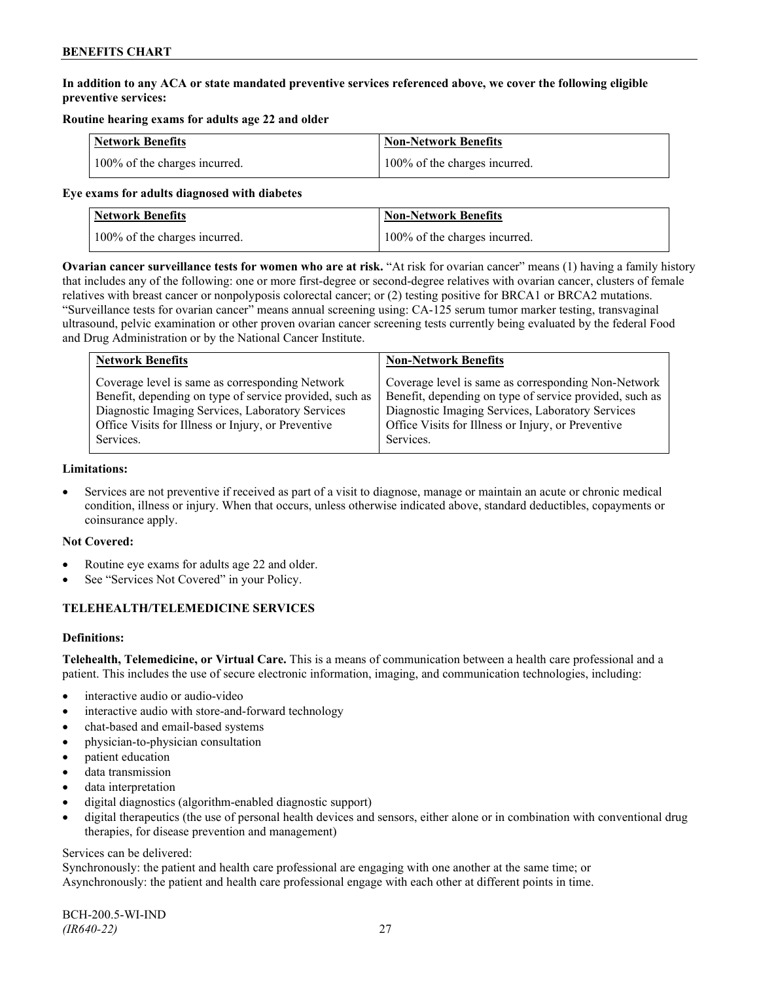## **In addition to any ACA or state mandated preventive services referenced above, we cover the following eligible preventive services:**

## **Routine hearing exams for adults age 22 and older**

| <b>Network Benefits</b>       | <b>Non-Network Benefits</b>   |
|-------------------------------|-------------------------------|
| 100% of the charges incurred. | 100% of the charges incurred. |

#### **Eye exams for adults diagnosed with diabetes**

| <b>Network Benefits</b>       | Non-Network Benefits          |
|-------------------------------|-------------------------------|
| 100% of the charges incurred. | 100% of the charges incurred. |

**Ovarian cancer surveillance tests for women who are at risk.** "At risk for ovarian cancer" means (1) having a family history that includes any of the following: one or more first-degree or second-degree relatives with ovarian cancer, clusters of female relatives with breast cancer or nonpolyposis colorectal cancer; or (2) testing positive for BRCA1 or BRCA2 mutations. "Surveillance tests for ovarian cancer" means annual screening using: CA-125 serum tumor marker testing, transvaginal ultrasound, pelvic examination or other proven ovarian cancer screening tests currently being evaluated by the federal Food and Drug Administration or by the National Cancer Institute.

| <b>Network Benefits</b>                                 | <b>Non-Network Benefits</b>                             |
|---------------------------------------------------------|---------------------------------------------------------|
| Coverage level is same as corresponding Network         | Coverage level is same as corresponding Non-Network     |
| Benefit, depending on type of service provided, such as | Benefit, depending on type of service provided, such as |
| Diagnostic Imaging Services, Laboratory Services        | Diagnostic Imaging Services, Laboratory Services        |
| Office Visits for Illness or Injury, or Preventive      | Office Visits for Illness or Injury, or Preventive      |
| Services.                                               | Services.                                               |

#### **Limitations:**

• Services are not preventive if received as part of a visit to diagnose, manage or maintain an acute or chronic medical condition, illness or injury. When that occurs, unless otherwise indicated above, standard deductibles, copayments or coinsurance apply.

## **Not Covered:**

- Routine eye exams for adults age 22 and older.
- See "Services Not Covered" in your Policy.

## **TELEHEALTH/TELEMEDICINE SERVICES**

## **Definitions:**

**Telehealth, Telemedicine, or Virtual Care.** This is a means of communication between a health care professional and a patient. This includes the use of secure electronic information, imaging, and communication technologies, including:

- interactive audio or audio-video
- interactive audio with store-and-forward technology
- chat-based and email-based systems
- physician-to-physician consultation
- patient education
- data transmission
- data interpretation
- digital diagnostics (algorithm-enabled diagnostic support)
- digital therapeutics (the use of personal health devices and sensors, either alone or in combination with conventional drug therapies, for disease prevention and management)

#### Services can be delivered:

Synchronously: the patient and health care professional are engaging with one another at the same time; or Asynchronously: the patient and health care professional engage with each other at different points in time.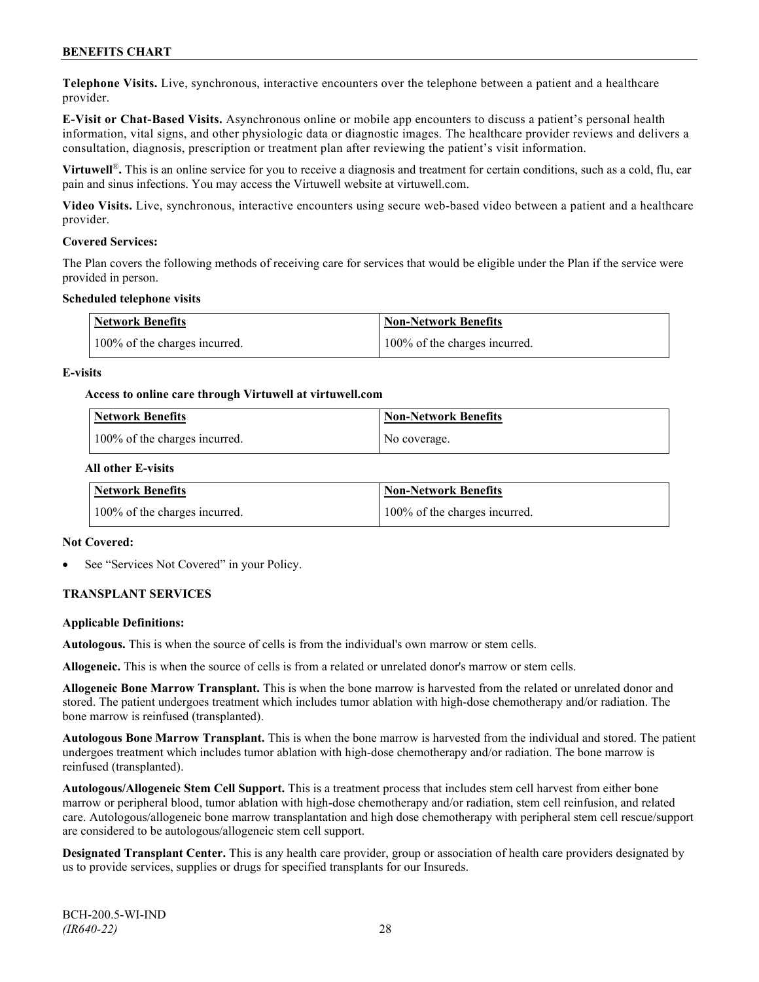**Telephone Visits.** Live, synchronous, interactive encounters over the telephone between a patient and a healthcare provider.

**E-Visit or Chat-Based Visits.** Asynchronous online or mobile app encounters to discuss a patient's personal health information, vital signs, and other physiologic data or diagnostic images. The healthcare provider reviews and delivers a consultation, diagnosis, prescription or treatment plan after reviewing the patient's visit information.

**Virtuwell<sup>®</sup>**. This is an online service for you to receive a diagnosis and treatment for certain conditions, such as a cold, flu, ear pain and sinus infections. You may access the Virtuwell website at [virtuwell.com.](https://www.virtuwell.com/)

**Video Visits.** Live, synchronous, interactive encounters using secure web-based video between a patient and a healthcare provider.

#### **Covered Services:**

The Plan covers the following methods of receiving care for services that would be eligible under the Plan if the service were provided in person.

#### **Scheduled telephone visits**

| <b>Network Benefits</b>       | <b>Non-Network Benefits</b>   |
|-------------------------------|-------------------------------|
| 100% of the charges incurred. | 100% of the charges incurred. |

#### **E-visits**

#### **Access to online care through Virtuwell at [virtuwell.com](http://www.virtuwell.com/)**

| Network Benefits              | <b>Non-Network Benefits</b> |
|-------------------------------|-----------------------------|
| 100% of the charges incurred. | No coverage.                |

#### **All other E-visits**

| Network Benefits              | <b>Non-Network Benefits</b>   |
|-------------------------------|-------------------------------|
| 100% of the charges incurred. | 100% of the charges incurred. |

#### **Not Covered:**

See "Services Not Covered" in your Policy.

## **TRANSPLANT SERVICES**

#### **Applicable Definitions:**

**Autologous.** This is when the source of cells is from the individual's own marrow or stem cells.

**Allogeneic.** This is when the source of cells is from a related or unrelated donor's marrow or stem cells.

**Allogeneic Bone Marrow Transplant.** This is when the bone marrow is harvested from the related or unrelated donor and stored. The patient undergoes treatment which includes tumor ablation with high-dose chemotherapy and/or radiation. The bone marrow is reinfused (transplanted).

**Autologous Bone Marrow Transplant.** This is when the bone marrow is harvested from the individual and stored. The patient undergoes treatment which includes tumor ablation with high-dose chemotherapy and/or radiation. The bone marrow is reinfused (transplanted).

**Autologous/Allogeneic Stem Cell Support.** This is a treatment process that includes stem cell harvest from either bone marrow or peripheral blood, tumor ablation with high-dose chemotherapy and/or radiation, stem cell reinfusion, and related care. Autologous/allogeneic bone marrow transplantation and high dose chemotherapy with peripheral stem cell rescue/support are considered to be autologous/allogeneic stem cell support.

**Designated Transplant Center.** This is any health care provider, group or association of health care providers designated by us to provide services, supplies or drugs for specified transplants for our Insureds.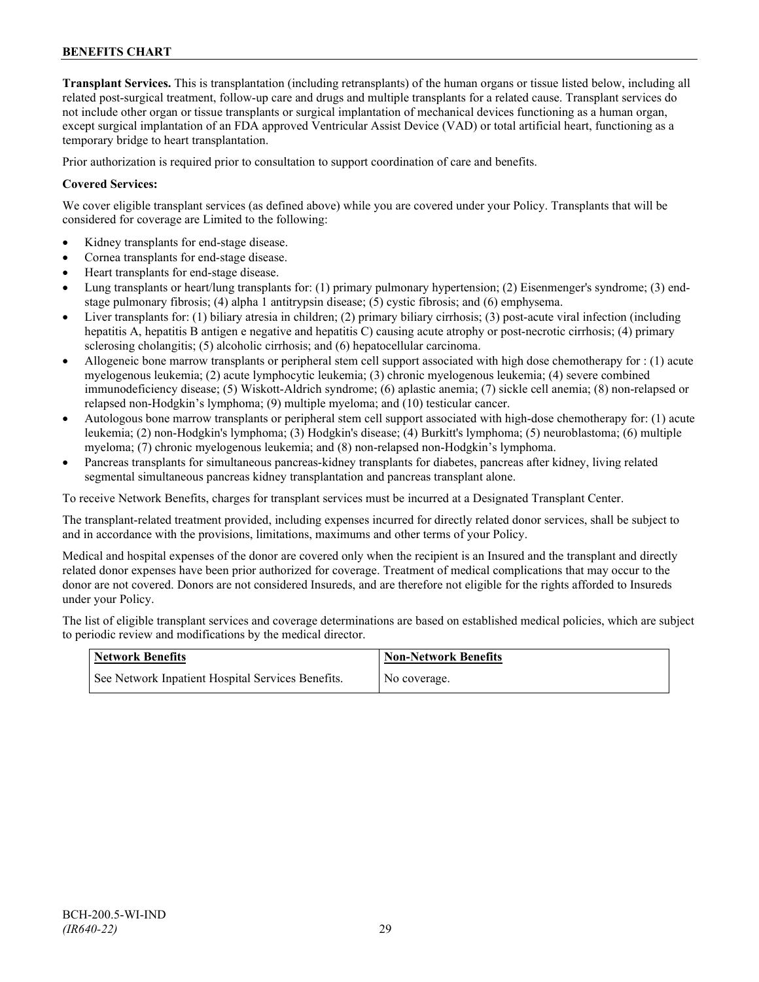**Transplant Services.** This is transplantation (including retransplants) of the human organs or tissue listed below, including all related post-surgical treatment, follow-up care and drugs and multiple transplants for a related cause. Transplant services do not include other organ or tissue transplants or surgical implantation of mechanical devices functioning as a human organ, except surgical implantation of an FDA approved Ventricular Assist Device (VAD) or total artificial heart, functioning as a temporary bridge to heart transplantation.

Prior authorization is required prior to consultation to support coordination of care and benefits.

### **Covered Services:**

We cover eligible transplant services (as defined above) while you are covered under your Policy. Transplants that will be considered for coverage are Limited to the following:

- Kidney transplants for end-stage disease.
- Cornea transplants for end-stage disease.
- Heart transplants for end-stage disease.
- Lung transplants or heart/lung transplants for: (1) primary pulmonary hypertension; (2) Eisenmenger's syndrome; (3) endstage pulmonary fibrosis; (4) alpha 1 antitrypsin disease; (5) cystic fibrosis; and (6) emphysema.
- Liver transplants for: (1) biliary atresia in children; (2) primary biliary cirrhosis; (3) post-acute viral infection (including hepatitis A, hepatitis B antigen e negative and hepatitis C) causing acute atrophy or post-necrotic cirrhosis; (4) primary sclerosing cholangitis; (5) alcoholic cirrhosis; and (6) hepatocellular carcinoma.
- Allogeneic bone marrow transplants or peripheral stem cell support associated with high dose chemotherapy for : (1) acute myelogenous leukemia; (2) acute lymphocytic leukemia; (3) chronic myelogenous leukemia; (4) severe combined immunodeficiency disease; (5) Wiskott-Aldrich syndrome; (6) aplastic anemia; (7) sickle cell anemia; (8) non-relapsed or relapsed non-Hodgkin's lymphoma; (9) multiple myeloma; and (10) testicular cancer.
- Autologous bone marrow transplants or peripheral stem cell support associated with high-dose chemotherapy for: (1) acute leukemia; (2) non-Hodgkin's lymphoma; (3) Hodgkin's disease; (4) Burkitt's lymphoma; (5) neuroblastoma; (6) multiple myeloma; (7) chronic myelogenous leukemia; and (8) non-relapsed non-Hodgkin's lymphoma.
- Pancreas transplants for simultaneous pancreas-kidney transplants for diabetes, pancreas after kidney, living related segmental simultaneous pancreas kidney transplantation and pancreas transplant alone.

To receive Network Benefits, charges for transplant services must be incurred at a Designated Transplant Center.

The transplant-related treatment provided, including expenses incurred for directly related donor services, shall be subject to and in accordance with the provisions, limitations, maximums and other terms of your Policy.

Medical and hospital expenses of the donor are covered only when the recipient is an Insured and the transplant and directly related donor expenses have been prior authorized for coverage. Treatment of medical complications that may occur to the donor are not covered. Donors are not considered Insureds, and are therefore not eligible for the rights afforded to Insureds under your Policy.

The list of eligible transplant services and coverage determinations are based on established medical policies, which are subject to periodic review and modifications by the medical director.

| <b>Network Benefits</b>                           | <b>Non-Network Benefits</b> |
|---------------------------------------------------|-----------------------------|
| See Network Inpatient Hospital Services Benefits. | No coverage.                |